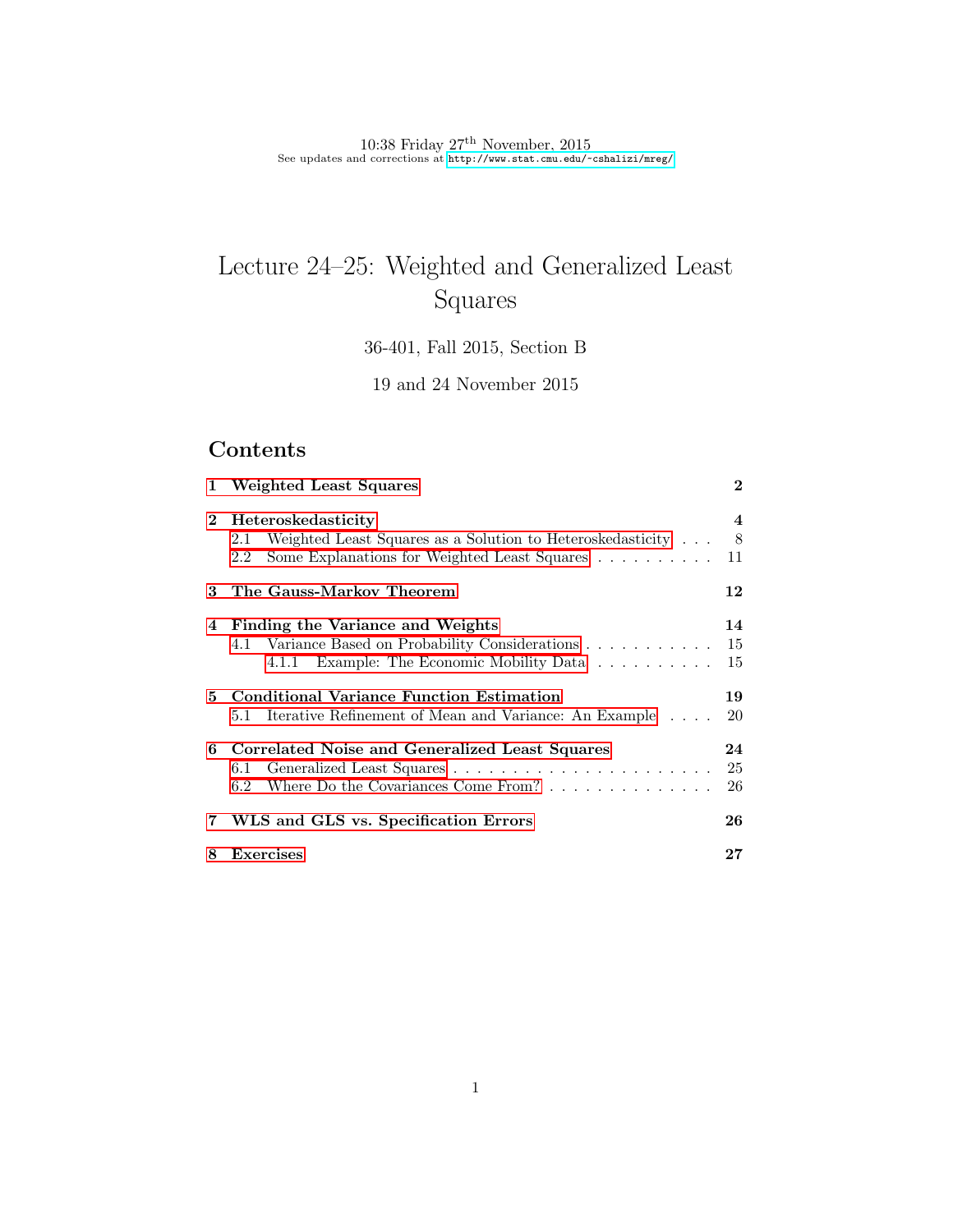10:38 Friday  $27<sup>th</sup>$  November, 2015 See updates and corrections at <http://www.stat.cmu.edu/~cshalizi/mreg/>

# Lecture 24–25: Weighted and Generalized Least Squares

36-401, Fall 2015, Section B

19 and 24 November 2015

# Contents

|          | 1 Weighted Least Squares                                                                                                                       | $\mathbf 2$    |
|----------|------------------------------------------------------------------------------------------------------------------------------------------------|----------------|
| $\bf{2}$ | Heteroskedasticity<br>Weighted Least Squares as a Solution to Heteroskedasticity<br>2.1<br>Some Explanations for Weighted Least Squares<br>2.2 | 4<br>8<br>11   |
| 3        | The Gauss-Markov Theorem                                                                                                                       | 12             |
| 4        | Finding the Variance and Weights<br>4.1 Variance Based on Probability Considerations 15<br>4.1.1 Example: The Economic Mobility Data           | 14<br>15       |
|          | 5 Conditional Variance Function Estimation<br>5.1 Iterative Refinement of Mean and Variance: An Example                                        | 19<br>20       |
| 6        | Correlated Noise and Generalized Least Squares<br>6.1<br>Where Do the Covariances Come From? $\ldots$ , $\ldots$ , $\ldots$<br>6.2             | 24<br>25<br>26 |
|          | 7 WLS and GLS vs. Specification Errors                                                                                                         | 26             |
| 8        | <b>Exercises</b>                                                                                                                               | $\bf 27$       |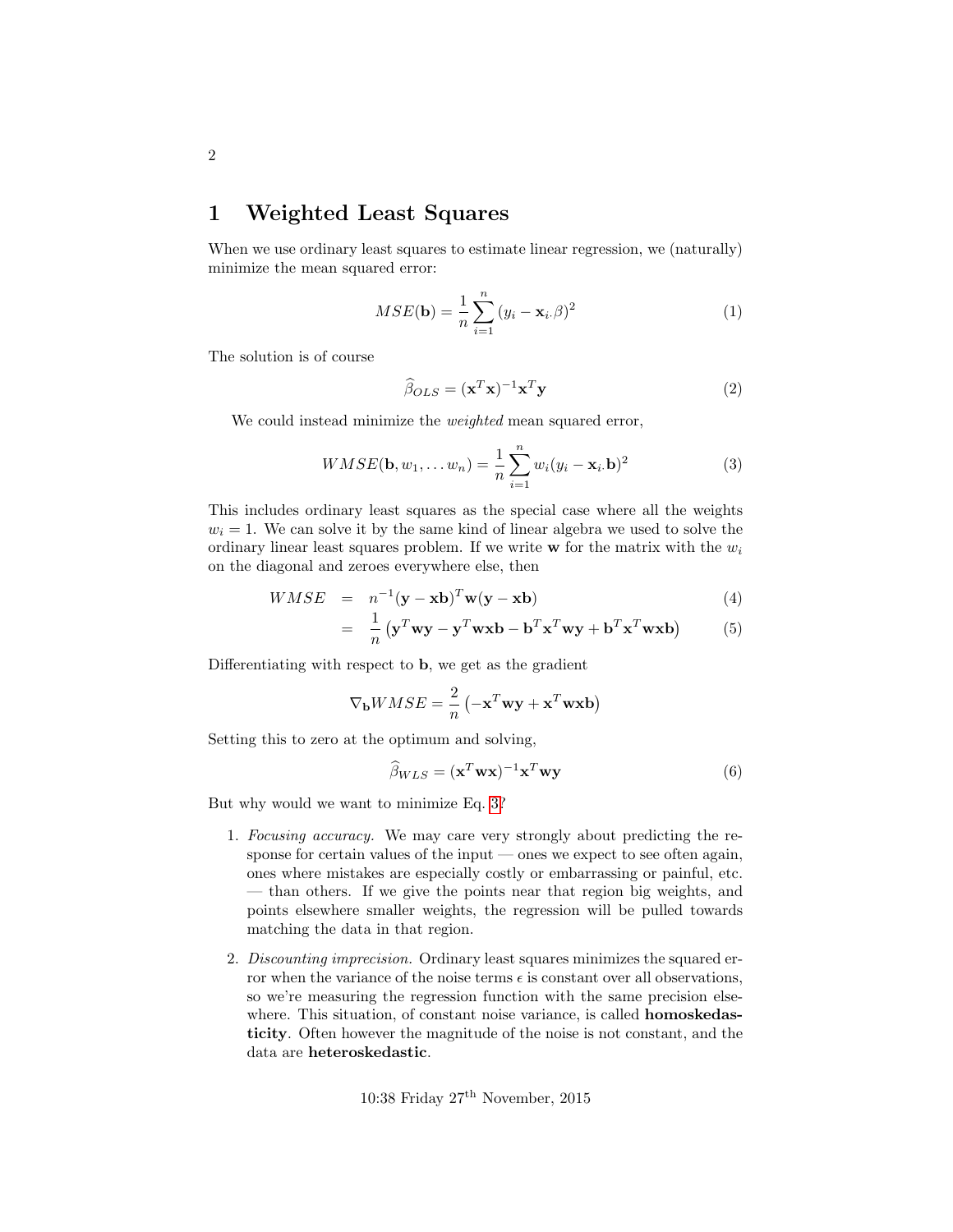### <span id="page-1-0"></span>1 Weighted Least Squares

When we use ordinary least squares to estimate linear regression, we (naturally) minimize the mean squared error:

<span id="page-1-2"></span>
$$
MSE(\mathbf{b}) = \frac{1}{n} \sum_{i=1}^{n} (y_i - \mathbf{x}_i \beta)^2
$$
 (1)

The solution is of course

$$
\widehat{\beta}_{OLS} = (\mathbf{x}^T \mathbf{x})^{-1} \mathbf{x}^T \mathbf{y}
$$
 (2)

We could instead minimize the *weighted* mean squared error,

<span id="page-1-1"></span>
$$
WMSE(\mathbf{b}, w_1, \dots w_n) = \frac{1}{n} \sum_{i=1}^n w_i (y_i - \mathbf{x}_i, \mathbf{b})^2
$$
 (3)

This includes ordinary least squares as the special case where all the weights  $w<sub>i</sub> = 1$ . We can solve it by the same kind of linear algebra we used to solve the ordinary linear least squares problem. If we write  $\bf{w}$  for the matrix with the  $w_i$ on the diagonal and zeroes everywhere else, then

$$
WMSE = n^{-1}(\mathbf{y} - \mathbf{x}\mathbf{b})^T \mathbf{w}(\mathbf{y} - \mathbf{x}\mathbf{b})
$$
(4)  

$$
\frac{1}{\left(1 - \frac{T}{\sigma}\right)^T \mathbf{w}(\mathbf{y} - \mathbf{x}\mathbf{b})^T \mathbf{w}(\mathbf{y} - \mathbf{x}\mathbf{b})}.
$$

$$
= \frac{1}{n} \left( \mathbf{y}^T \mathbf{w} \mathbf{y} - \mathbf{y}^T \mathbf{w} \mathbf{x} \mathbf{b} - \mathbf{b}^T \mathbf{x}^T \mathbf{w} \mathbf{y} + \mathbf{b}^T \mathbf{x}^T \mathbf{w} \mathbf{x} \mathbf{b} \right) \tag{5}
$$

Differentiating with respect to b, we get as the gradient

$$
\nabla_{\mathbf{b}} W M S E = \frac{2}{n} \left( -\mathbf{x}^T \mathbf{w} \mathbf{y} + \mathbf{x}^T \mathbf{w} \mathbf{x} \mathbf{b} \right)
$$

Setting this to zero at the optimum and solving,

<span id="page-1-3"></span>
$$
\widehat{\beta}_{WLS} = (\mathbf{x}^T \mathbf{w} \mathbf{x})^{-1} \mathbf{x}^T \mathbf{w} \mathbf{y}
$$
 (6)

But why would we want to minimize Eq. [3?](#page-1-1)

- 1. Focusing accuracy. We may care very strongly about predicting the response for certain values of the input — ones we expect to see often again, ones where mistakes are especially costly or embarrassing or painful, etc. — than others. If we give the points near that region big weights, and points elsewhere smaller weights, the regression will be pulled towards matching the data in that region.
- 2. Discounting imprecision. Ordinary least squares minimizes the squared error when the variance of the noise terms  $\epsilon$  is constant over all observations, so we're measuring the regression function with the same precision elsewhere. This situation, of constant noise variance, is called **homoskedas**ticity. Often however the magnitude of the noise is not constant, and the data are heteroskedastic.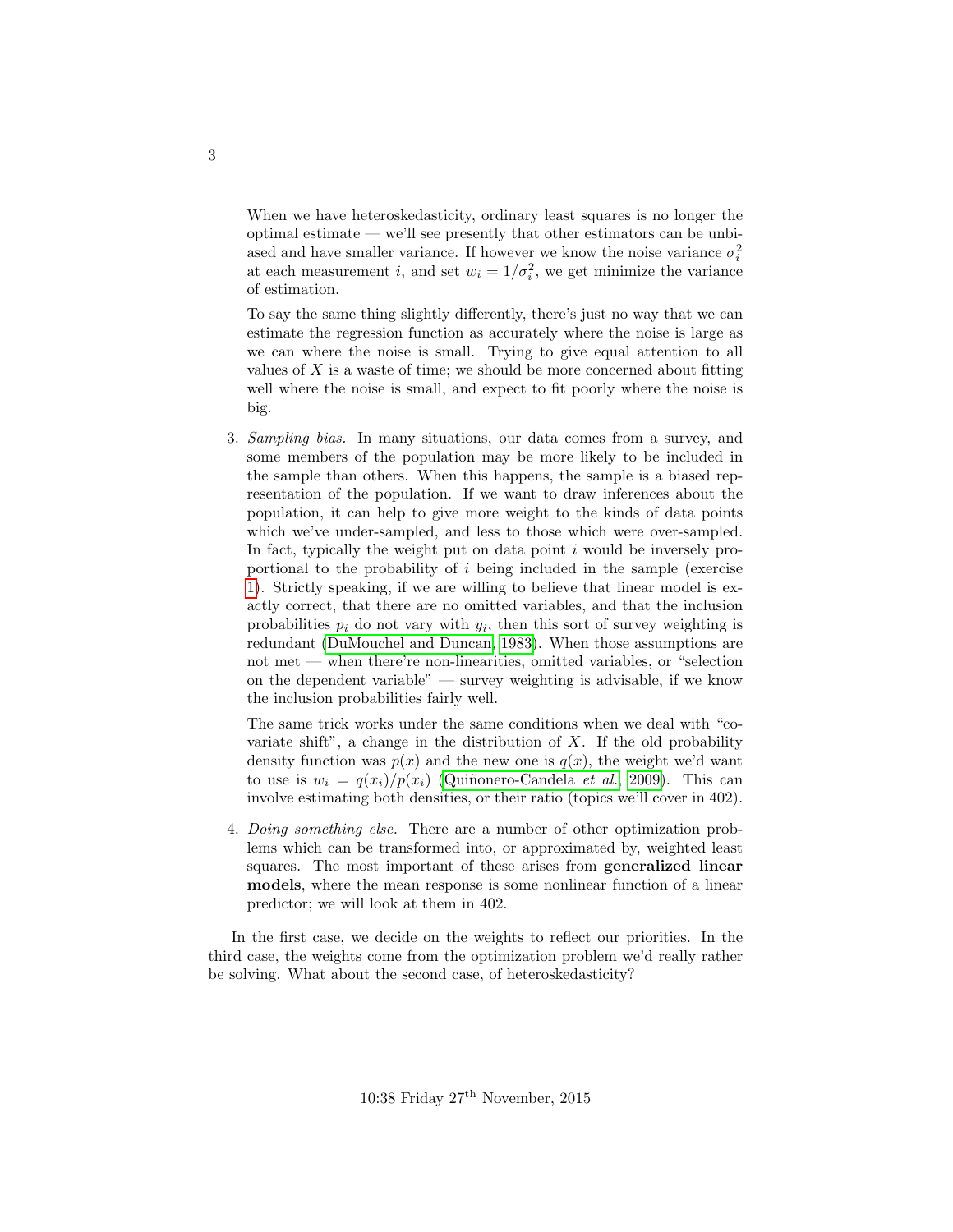When we have heteroskedasticity, ordinary least squares is no longer the optimal estimate — we'll see presently that other estimators can be unbiased and have smaller variance. If however we know the noise variance  $\sigma_i^2$ at each measurement *i*, and set  $w_i = 1/\sigma_i^2$ , we get minimize the variance of estimation.

To say the same thing slightly differently, there's just no way that we can estimate the regression function as accurately where the noise is large as we can where the noise is small. Trying to give equal attention to all values of  $X$  is a waste of time; we should be more concerned about fitting well where the noise is small, and expect to fit poorly where the noise is big.

3. Sampling bias. In many situations, our data comes from a survey, and some members of the population may be more likely to be included in the sample than others. When this happens, the sample is a biased representation of the population. If we want to draw inferences about the population, it can help to give more weight to the kinds of data points which we've under-sampled, and less to those which were over-sampled. In fact, typically the weight put on data point  $i$  would be inversely proportional to the probability of i being included in the sample (exercise [1\)](#page-26-1). Strictly speaking, if we are willing to believe that linear model is exactly correct, that there are no omitted variables, and that the inclusion probabilities  $p_i$  do not vary with  $y_i$ , then this sort of survey weighting is redundant [\(DuMouchel and Duncan, 1983\)](#page-26-2). When those assumptions are not met — when there're non-linearities, omitted variables, or "selection on the dependent variable" — survey weighting is advisable, if we know the inclusion probabilities fairly well.

The same trick works under the same conditions when we deal with "covariate shift", a change in the distribution of  $X$ . If the old probability density function was  $p(x)$  and the new one is  $q(x)$ , the weight we'd want to use is  $w_i = q(x_i)/p(x_i)$  (Quiñonero-Candela *et al.*, [2009\)](#page-26-3). This can involve estimating both densities, or their ratio (topics we'll cover in 402).

4. Doing something else. There are a number of other optimization problems which can be transformed into, or approximated by, weighted least squares. The most important of these arises from generalized linear models, where the mean response is some nonlinear function of a linear predictor; we will look at them in 402.

In the first case, we decide on the weights to reflect our priorities. In the third case, the weights come from the optimization problem we'd really rather be solving. What about the second case, of heteroskedasticity?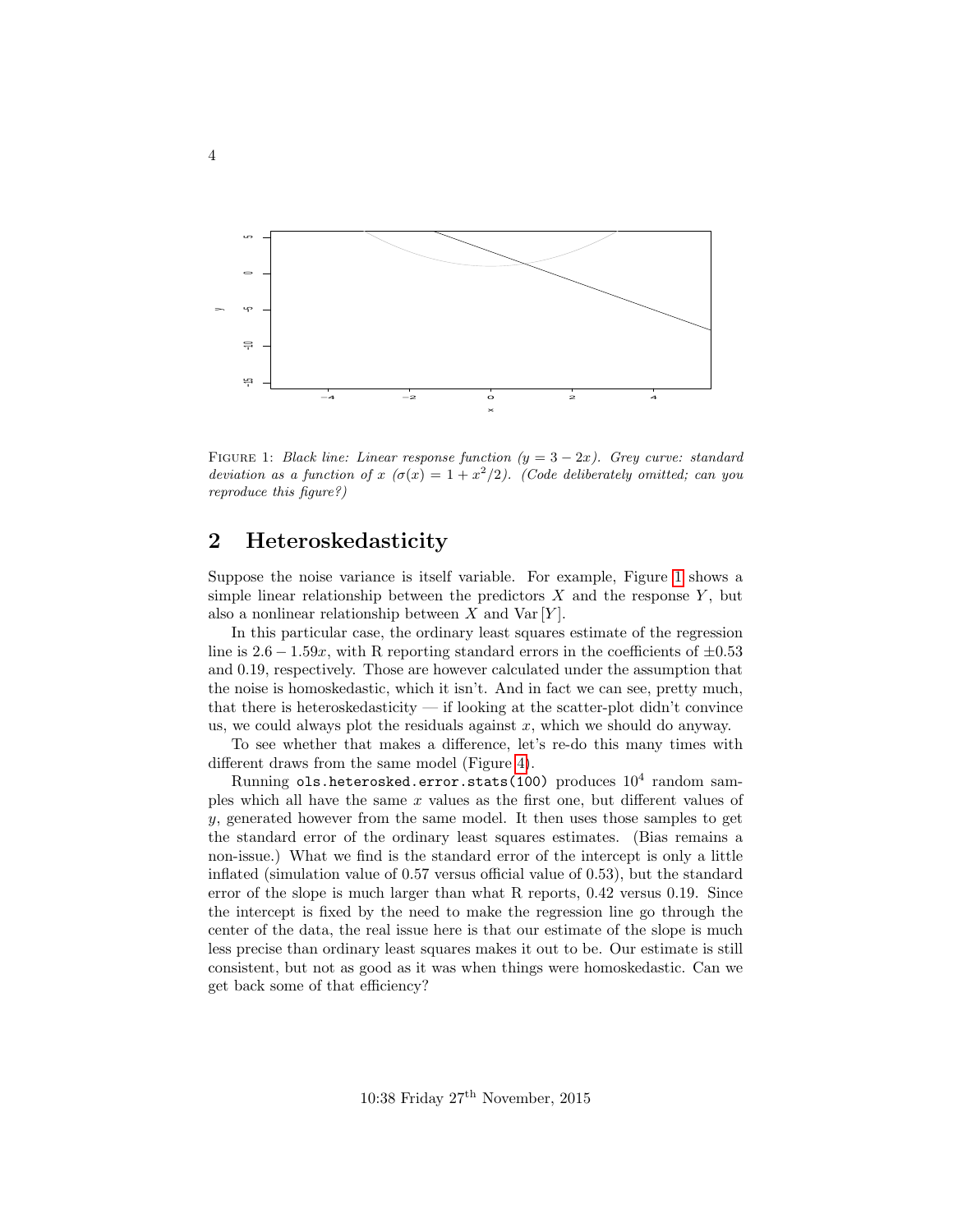<span id="page-3-1"></span>

FIGURE 1: Black line: Linear response function  $(y = 3 - 2x)$ . Grey curve: standard deviation as a function of  $x \ (\sigma(x) = 1 + x^2/2)$ . (Code deliberately omitted; can you reproduce this figure?)

# <span id="page-3-0"></span>2 Heteroskedasticity

Suppose the noise variance is itself variable. For example, Figure [1](#page-3-1) shows a simple linear relationship between the predictors  $X$  and the response  $Y$ , but also a nonlinear relationship between  $X$  and  $Var[Y]$ .

In this particular case, the ordinary least squares estimate of the regression line is  $2.6 - 1.59x$ , with R reporting standard errors in the coefficients of  $\pm 0.53$ and 0.19, respectively. Those are however calculated under the assumption that the noise is homoskedastic, which it isn't. And in fact we can see, pretty much, that there is heteroskedasticity — if looking at the scatter-plot didn't convince us, we could always plot the residuals against  $x$ , which we should do anyway.

To see whether that makes a difference, let's re-do this many times with different draws from the same model (Figure [4\)](#page-6-0).

 $\rm{Running\,\,ols.}$ heterosked.error.stats(100)  $\rm{produces\,\,10^4\,\,random\,\,sam}$ ples which all have the same  $x$  values as the first one, but different values of y, generated however from the same model. It then uses those samples to get the standard error of the ordinary least squares estimates. (Bias remains a non-issue.) What we find is the standard error of the intercept is only a little inflated (simulation value of 0.57 versus official value of 0.53), but the standard error of the slope is much larger than what R reports, 0.42 versus 0.19. Since the intercept is fixed by the need to make the regression line go through the center of the data, the real issue here is that our estimate of the slope is much less precise than ordinary least squares makes it out to be. Our estimate is still consistent, but not as good as it was when things were homoskedastic. Can we get back some of that efficiency?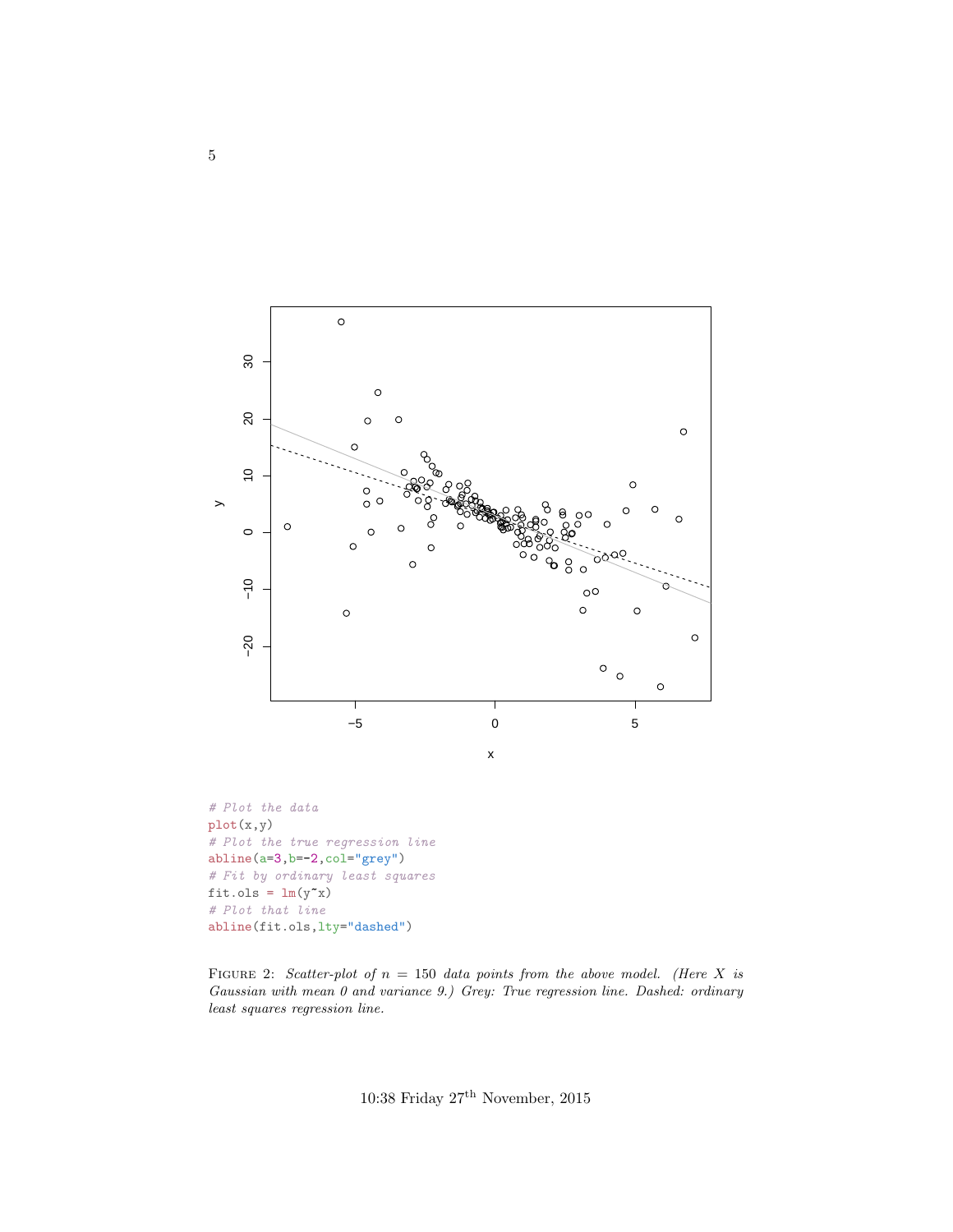<span id="page-4-0"></span>

FIGURE 2: Scatter-plot of  $n = 150$  data points from the above model. (Here X is Gaussian with mean 0 and variance 9.) Grey: True regression line. Dashed: ordinary least squares regression line.

10:38 Friday  $27^{\rm th}$  November, 2015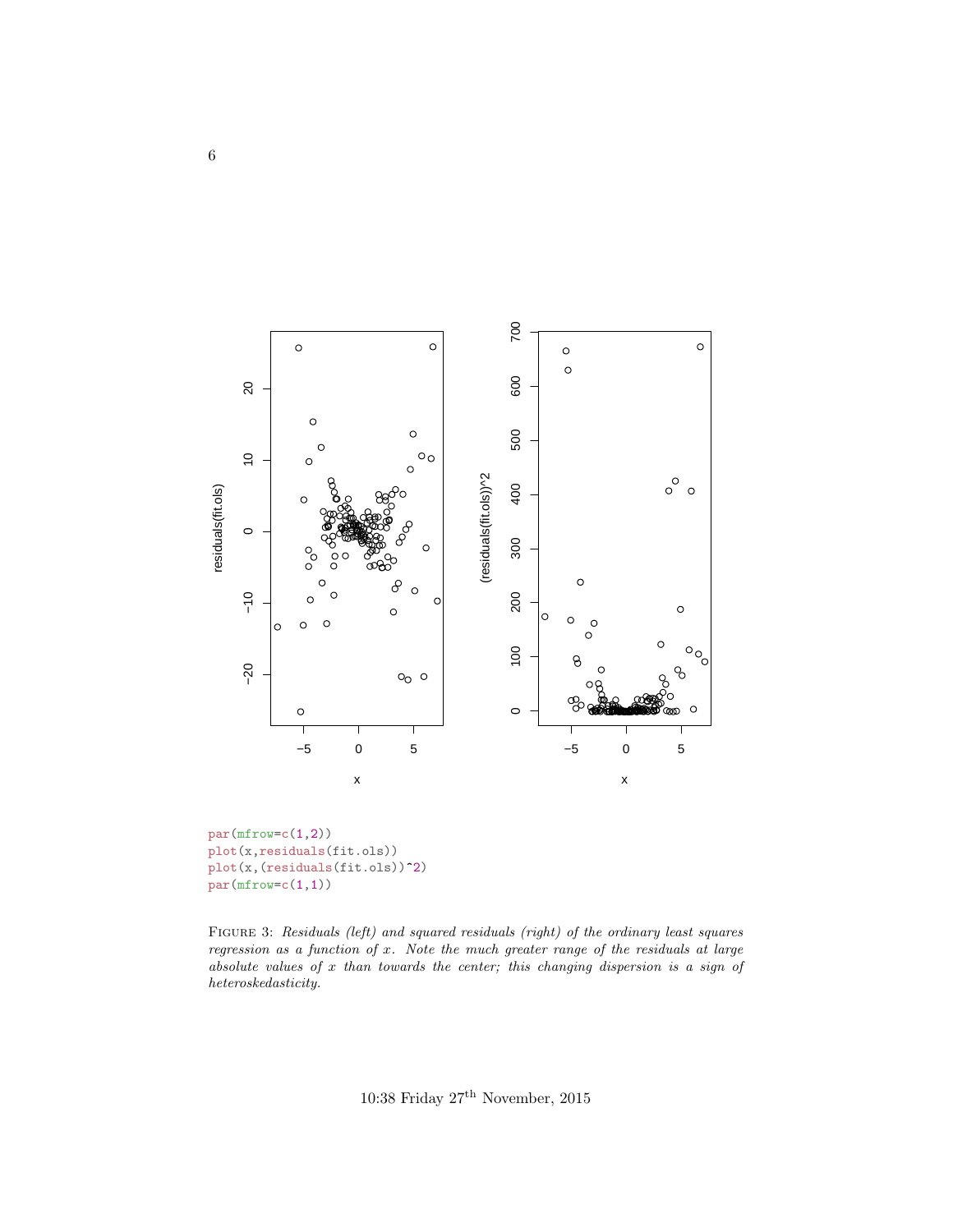<span id="page-5-0"></span>

plot(x,residuals(fit.ols)) plot(x,(residuals(fit.ols))<sup>2</sup>)  $par(mfrow=c(1,1))$ 

FIGURE 3: Residuals (left) and squared residuals (right) of the ordinary least squares regression as a function of x. Note the much greater range of the residuals at large absolute values of  $x$  than towards the center; this changing dispersion is a sign of  $\label{th:rel} heteroskedasticity.$ 

10:38 Friday  $27^{\rm th}$  November, 2015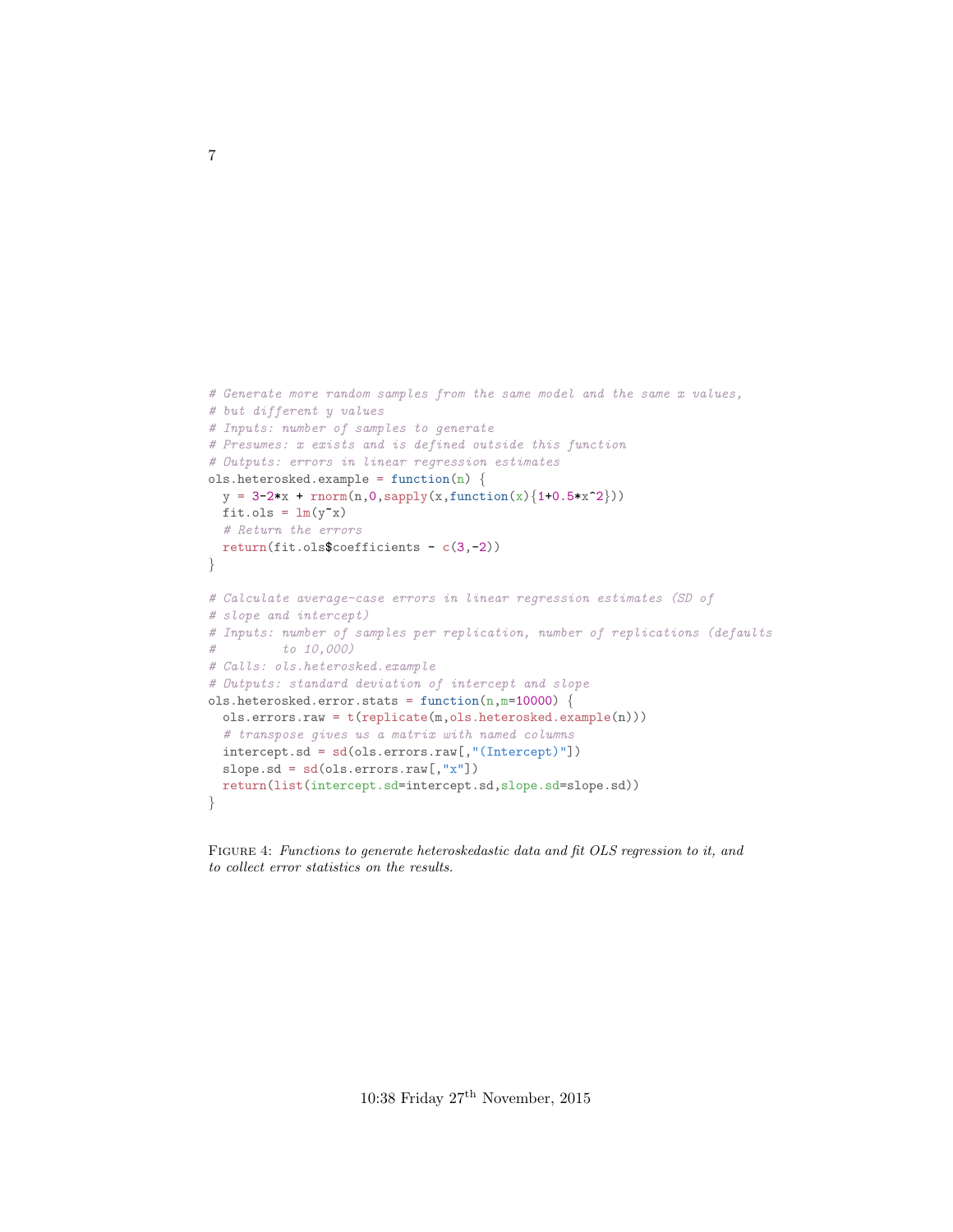```
# Generate more random samples from the same model and the same x values,
# but different y values
# Inputs: number of samples to generate
# Presumes: x exists and is defined outside this function
# Outputs: errors in linear regression estimates
ols.heterosked.example = function(n) {
 y = 3-2*x + rnorm(n, 0, sapply(x, function(x) {1+0.5*x^2})fit.ols = lm(y^{\star}x)# Return the errors
 return(fit.ols$coefficients - c(3,-2))
}
# Calculate average-case errors in linear regression estimates (SD of
# slope and intercept)
# Inputs: number of samples per replication, number of replications (defaults
# to 10,000)
# Calls: ols.heterosked.example
# Outputs: standard deviation of intercept and slope
ols.heterosked.error.stats = function(n, m=10000) {
 ols.errors.raw = t(replicate(m,ols.heterosked.example(n)))
 # transpose gives us a matrix with named columns
 intercept.sd = sd(ols.errors.raw[,"(Intercept)"])
 slope.sd = sd(ols.errors.raw[,"x"])
 return(list(intercept.sd=intercept.sd,slope.sd=slope.sd))
}
```
Figure 4: Functions to generate heteroskedastic data and fit OLS regression to it, and to collect error statistics on the results.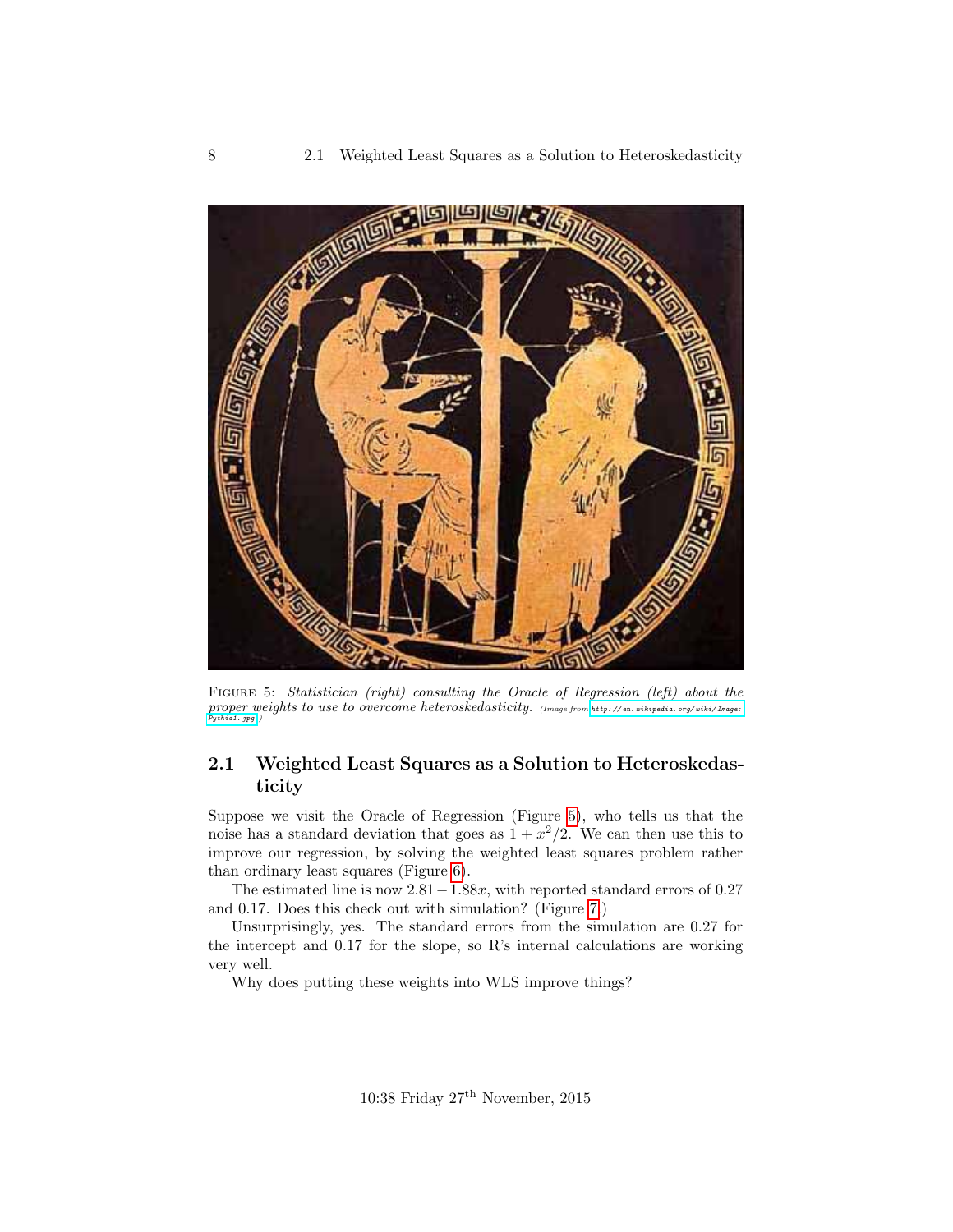<span id="page-7-1"></span>

FIGURE 5: Statistician (right) consulting the Oracle of Regression (left) about the proper weights to use to overcome heteroskedasticity. (Image from http://en. wikipedia. org/wiki/Image:<br>[Pythia1. jpg](http://en.wikipedia.org/wiki/Image:Pythia1.jpg).)

### <span id="page-7-0"></span>2.1 Weighted Least Squares as a Solution to Heteroskedasticity

Suppose we visit the Oracle of Regression (Figure [5\)](#page-7-1), who tells us that the noise has a standard deviation that goes as  $1 + x^2/2$ . We can then use this to improve our regression, by solving the weighted least squares problem rather than ordinary least squares (Figure [6\)](#page-8-0).

The estimated line is now  $2.81-1.88x$ , with reported standard errors of 0.27 and 0.17. Does this check out with simulation? (Figure [7.](#page-9-0))

Unsurprisingly, yes. The standard errors from the simulation are 0.27 for the intercept and 0.17 for the slope, so R's internal calculations are working very well.

Why does putting these weights into WLS improve things?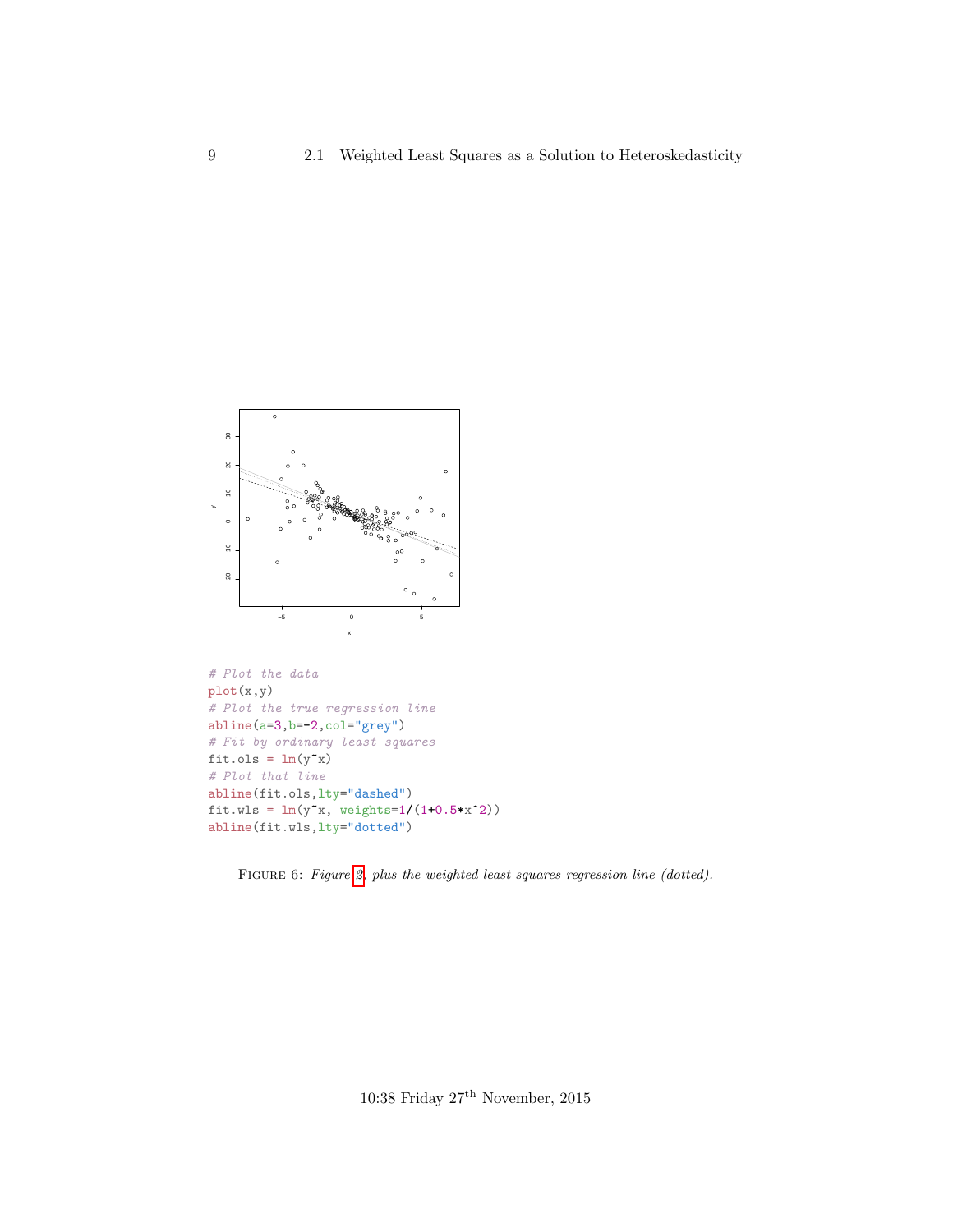<span id="page-8-0"></span>

```
# Plot the data
plot(x,y)
# Plot the true regression line
abline(a=3,b=-2,col="grey")
# Fit by ordinary least squares
fit.ols = lm(y^{\sim}x)# Plot that line
abline(fit.ols,lty="dashed")
fit.wls = lm(y^{\sim}x, weights=1/(1+0.5*x^2))abline(fit.wls,lty="dotted")
```
Figure 6: Figure [2,](#page-4-0) plus the weighted least squares regression line (dotted).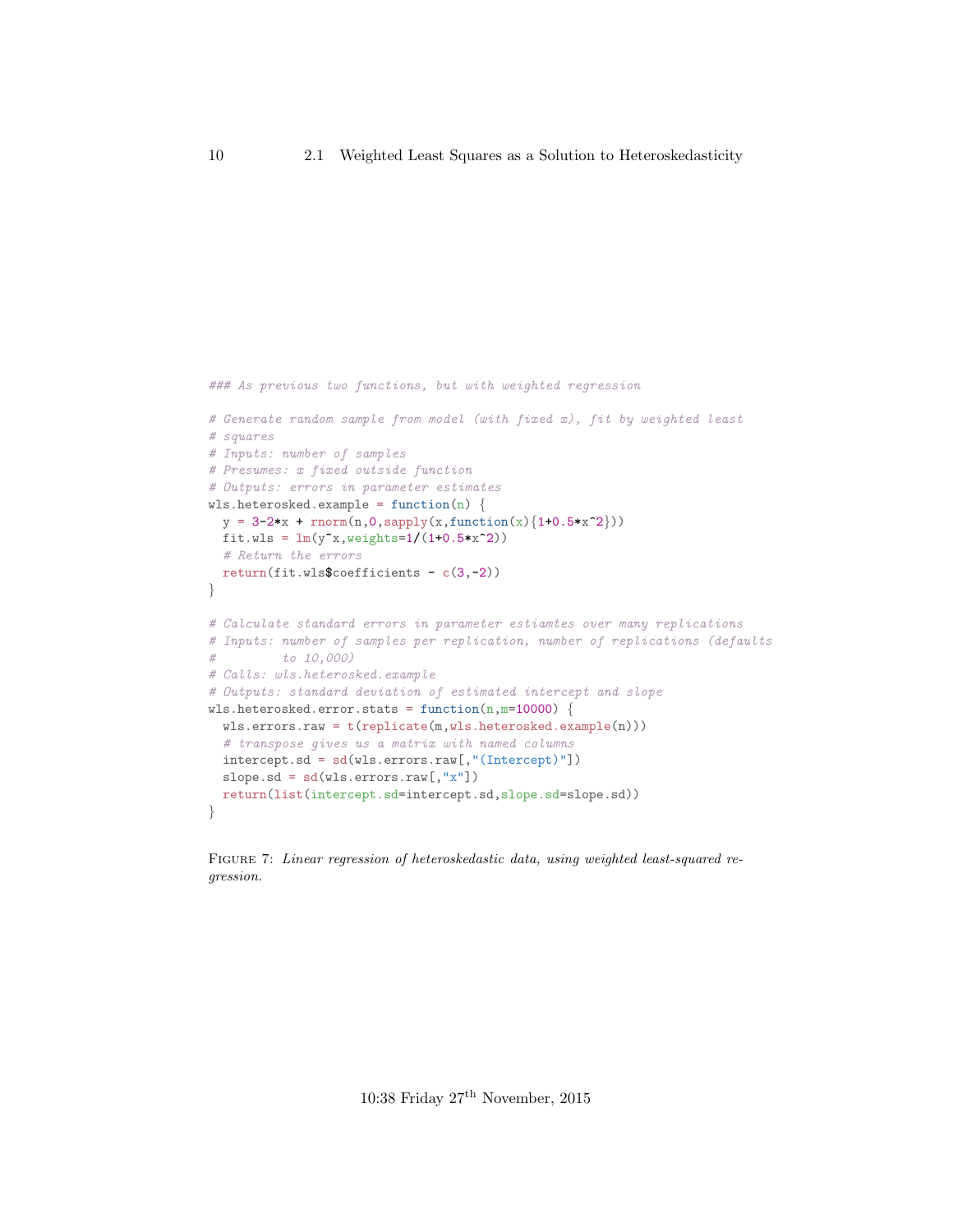```
### As previous two functions, but with weighted regression
# Generate random sample from model (with fixed x), fit by weighted least
# squares
# Inputs: number of samples
# Presumes: x fixed outside function
# Outputs: errors in parameter estimates
wls.heterosked.example = function(n) {
 y = 3-2*x + rnorm(n, 0, sapply(x, function(x) {1+0.5*x^2}))fit.wls = lm(y^x, weights=1/(1+0.5*x^2))# Return the errors
 return(fit.wls$coefficients - c(3,-2))
}
# Calculate standard errors in parameter estiamtes over many replications
# Inputs: number of samples per replication, number of replications (defaults
# to 10,000)
# Calls: wls.heterosked.example
# Outputs: standard deviation of estimated intercept and slope
wls.heterosked.error.stats = function(n,m=10000) {
 wls.errors.raw = t(replicate(m,wls.heterosked.example(n)))# transpose gives us a matrix with named columns
 intercept.sd = sd(wls.errors.raw[,"(Intercept)"])
 slope.sd = sd(wls.errors.raw[, "x"])
 return(list(intercept.sd=intercept.sd,slope.sd=slope.sd))
}
```
Figure 7: Linear regression of heteroskedastic data, using weighted least-squared regression.

10:38 Friday 27th November, 2015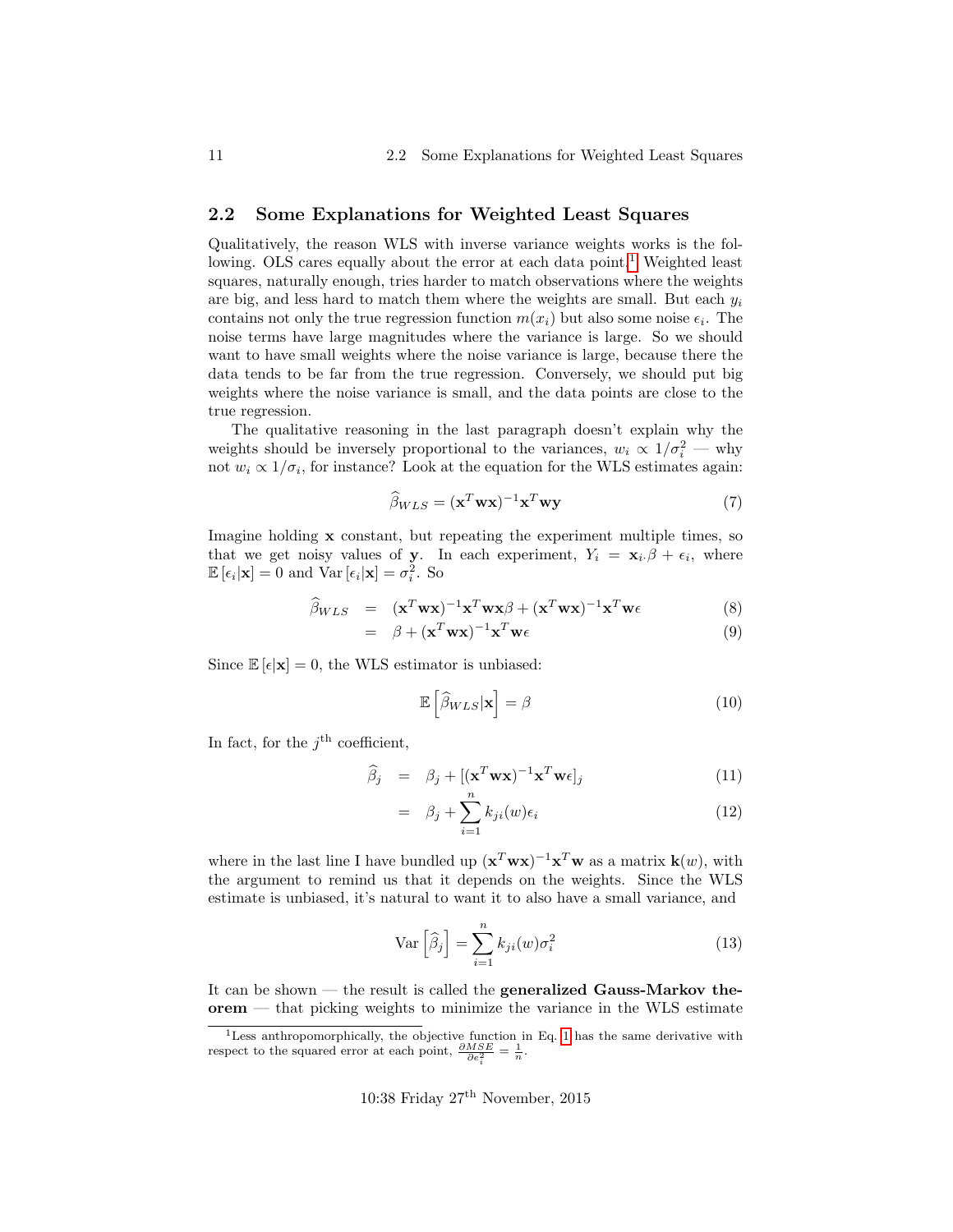### <span id="page-10-0"></span>2.2 Some Explanations for Weighted Least Squares

Qualitatively, the reason WLS with inverse variance weights works is the fol-lowing. OLS cares equally about the error at each data point.<sup>[1](#page-10-1)</sup> Weighted least squares, naturally enough, tries harder to match observations where the weights are big, and less hard to match them where the weights are small. But each  $y_i$ contains not only the true regression function  $m(x_i)$  but also some noise  $\epsilon_i$ . The noise terms have large magnitudes where the variance is large. So we should want to have small weights where the noise variance is large, because there the data tends to be far from the true regression. Conversely, we should put big weights where the noise variance is small, and the data points are close to the true regression.

The qualitative reasoning in the last paragraph doesn't explain why the weights should be inversely proportional to the variances,  $w_i \propto 1/\sigma_i^2$  — why not  $w_i \propto 1/\sigma_i$ , for instance? Look at the equation for the WLS estimates again:

$$
\widehat{\beta}_{WLS} = (\mathbf{x}^T \mathbf{w} \mathbf{x})^{-1} \mathbf{x}^T \mathbf{w} \mathbf{y}
$$
\n(7)

Imagine holding x constant, but repeating the experiment multiple times, so that we get noisy values of y. In each experiment,  $Y_i = \mathbf{x}_i \beta + \epsilon_i$ , where  $\mathbb{E}[\epsilon_i|\mathbf{x}] = 0$  and  $\text{Var}[\epsilon_i|\mathbf{x}] = \sigma_i^2$ . So

$$
\widehat{\beta}_{WLS} = (\mathbf{x}^T \mathbf{w} \mathbf{x})^{-1} \mathbf{x}^T \mathbf{w} \mathbf{x} \beta + (\mathbf{x}^T \mathbf{w} \mathbf{x})^{-1} \mathbf{x}^T \mathbf{w} \epsilon
$$
\n
$$
= \beta + (\mathbf{x}^T \mathbf{w} \mathbf{x})^{-1} \mathbf{x}^T \mathbf{w} \epsilon
$$
\n(8)

Since  $\mathbb{E}[\epsilon|\mathbf{x}] = 0$ , the WLS estimator is unbiased:

<span id="page-10-2"></span>
$$
\mathbb{E}\left[\widehat{\beta}_{WLS}|\mathbf{x}\right] = \beta\tag{10}
$$

In fact, for the  $j<sup>th</sup>$  coefficient,

$$
\widehat{\beta}_j = \beta_j + [(\mathbf{x}^T \mathbf{w} \mathbf{x})^{-1} \mathbf{x}^T \mathbf{w} \epsilon]_j \tag{11}
$$

$$
= \beta_j + \sum_{i=1}^n k_{ji}(w)\epsilon_i \tag{12}
$$

where in the last line I have bundled up  $(\mathbf{x}^T \mathbf{w} \mathbf{x})^{-1} \mathbf{x}^T \mathbf{w}$  as a matrix  $\mathbf{k}(w)$ , with the argument to remind us that it depends on the weights. Since the WLS estimate is unbiased, it's natural to want it to also have a small variance, and

$$
\text{Var}\left[\widehat{\beta}_j\right] = \sum_{i=1}^n k_{ji}(w)\sigma_i^2 \tag{13}
$$

It can be shown — the result is called the generalized Gauss-Markov theorem — that picking weights to minimize the variance in the WLS estimate

<span id="page-10-1"></span><sup>&</sup>lt;sup>1</sup>Less anthropomorphically, the objective function in Eq. [1](#page-1-2) has the same derivative with respect to the squared error at each point,  $\frac{\partial MSE}{\partial e_i^2} = \frac{1}{n}$ .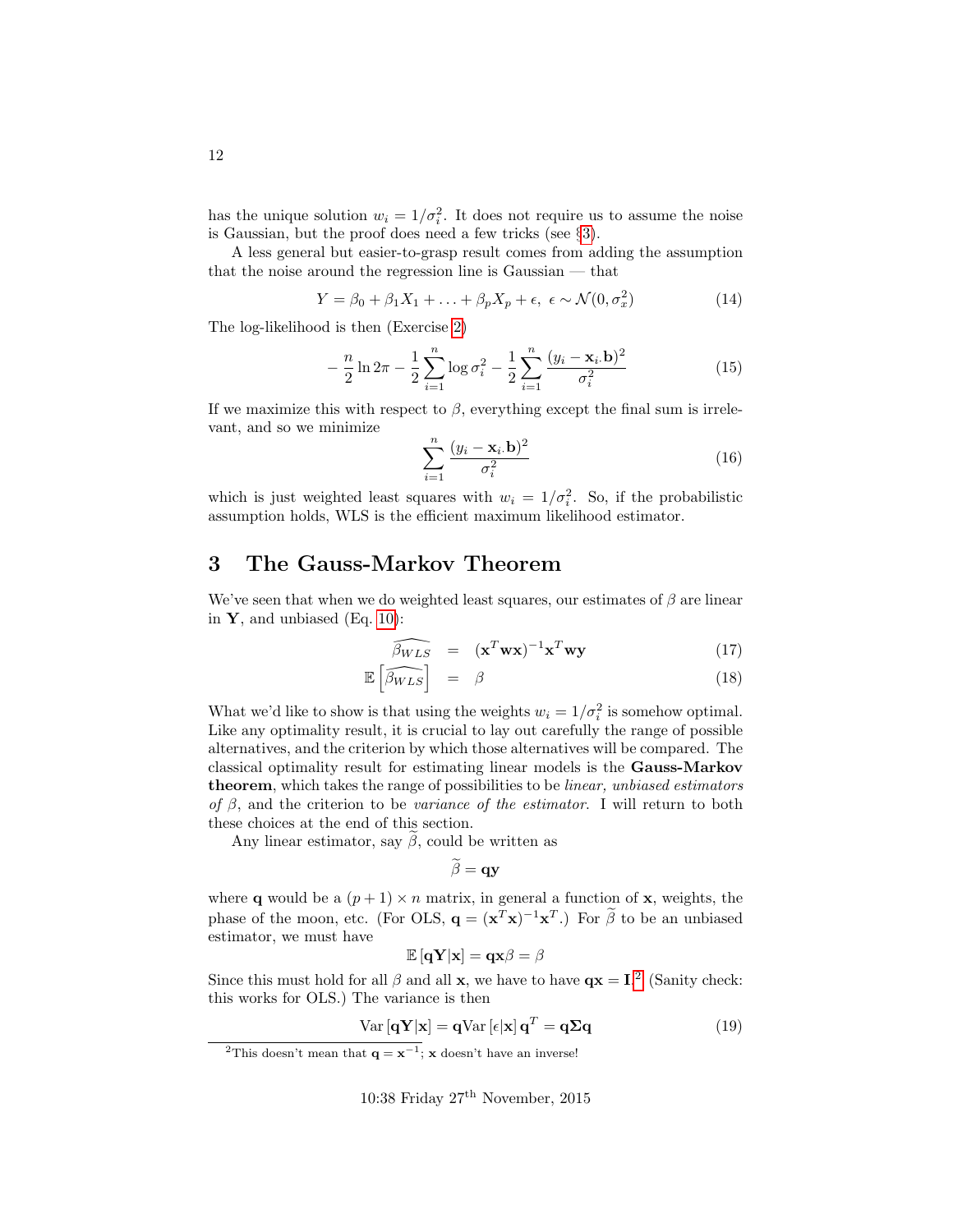has the unique solution  $w_i = 1/\sigma_i^2$ . It does not require us to assume the noise is Gaussian, but the proof does need a few tricks (see §[3\)](#page-11-0).

A less general but easier-to-grasp result comes from adding the assumption that the noise around the regression line is Gaussian — that

<span id="page-11-3"></span>
$$
Y = \beta_0 + \beta_1 X_1 + \ldots + \beta_p X_p + \epsilon, \ \epsilon \sim \mathcal{N}(0, \sigma_x^2)
$$
 (14)

The log-likelihood is then (Exercise [2\)](#page-26-4)

<span id="page-11-4"></span>
$$
-\frac{n}{2}\ln 2\pi - \frac{1}{2}\sum_{i=1}^{n}\log \sigma_i^2 - \frac{1}{2}\sum_{i=1}^{n}\frac{(y_i - \mathbf{x}_i.\mathbf{b})^2}{\sigma_i^2}
$$
(15)

If we maximize this with respect to  $\beta$ , everything except the final sum is irrelevant, and so we minimize

$$
\sum_{i=1}^{n} \frac{(y_i - \mathbf{x}_i, \mathbf{b})^2}{\sigma_i^2}
$$
 (16)

which is just weighted least squares with  $w_i = 1/\sigma_i^2$ . So, if the probabilistic assumption holds, WLS is the efficient maximum likelihood estimator.

# <span id="page-11-0"></span>3 The Gauss-Markov Theorem

We've seen that when we do weighted least squares, our estimates of  $\beta$  are linear in  $\mathbf{Y}$ , and unbiased (Eq. [10\)](#page-10-2):

$$
\widehat{\beta_{WLS}} = (\mathbf{x}^T \mathbf{w} \mathbf{x})^{-1} \mathbf{x}^T \mathbf{w} \mathbf{y}
$$
 (17)

$$
\mathbb{E}\left[\widehat{\beta_{WLS}}\right] = \beta \tag{18}
$$

What we'd like to show is that using the weights  $w_i = 1/\sigma_i^2$  is somehow optimal. Like any optimality result, it is crucial to lay out carefully the range of possible alternatives, and the criterion by which those alternatives will be compared. The classical optimality result for estimating linear models is the Gauss-Markov theorem, which takes the range of possibilities to be linear, unbiased estimators of  $\beta$ , and the criterion to be variance of the estimator. I will return to both these choices at the end of this section.

Any linear estimator, say  $\beta$ , could be written as

$$
\beta = qy
$$

where **q** would be a  $(p+1) \times n$  matrix, in general a function of **x**, weights, the phase of the moon, etc. (For OLS,  $\mathbf{q} = (\mathbf{x}^T \mathbf{x})^{-1} \mathbf{x}^T$ .) For  $\tilde{\beta}$  to be an unbiased estimator, we must have

$$
\mathbb{E}\left[\mathbf{q}\mathbf{Y}\vert\mathbf{x}\right]=\mathbf{q}\mathbf{x}\beta=\beta
$$

Since this must hold for all  $\beta$  and all **x**, we have to have  $qx = I^2$  $qx = I^2$  (Sanity check: this works for OLS.) The variance is then

<span id="page-11-2"></span>
$$
Var\left[\mathbf{q}\mathbf{Y}|\mathbf{x}\right] = \mathbf{q}Var\left[\epsilon|\mathbf{x}\right]\mathbf{q}^T = \mathbf{q}\Sigma\mathbf{q}
$$
\n(19)

<span id="page-11-1"></span><sup>&</sup>lt;sup>2</sup>This doesn't mean that  $\mathbf{q} = \mathbf{x}^{-1}$ ; x doesn't have an inverse!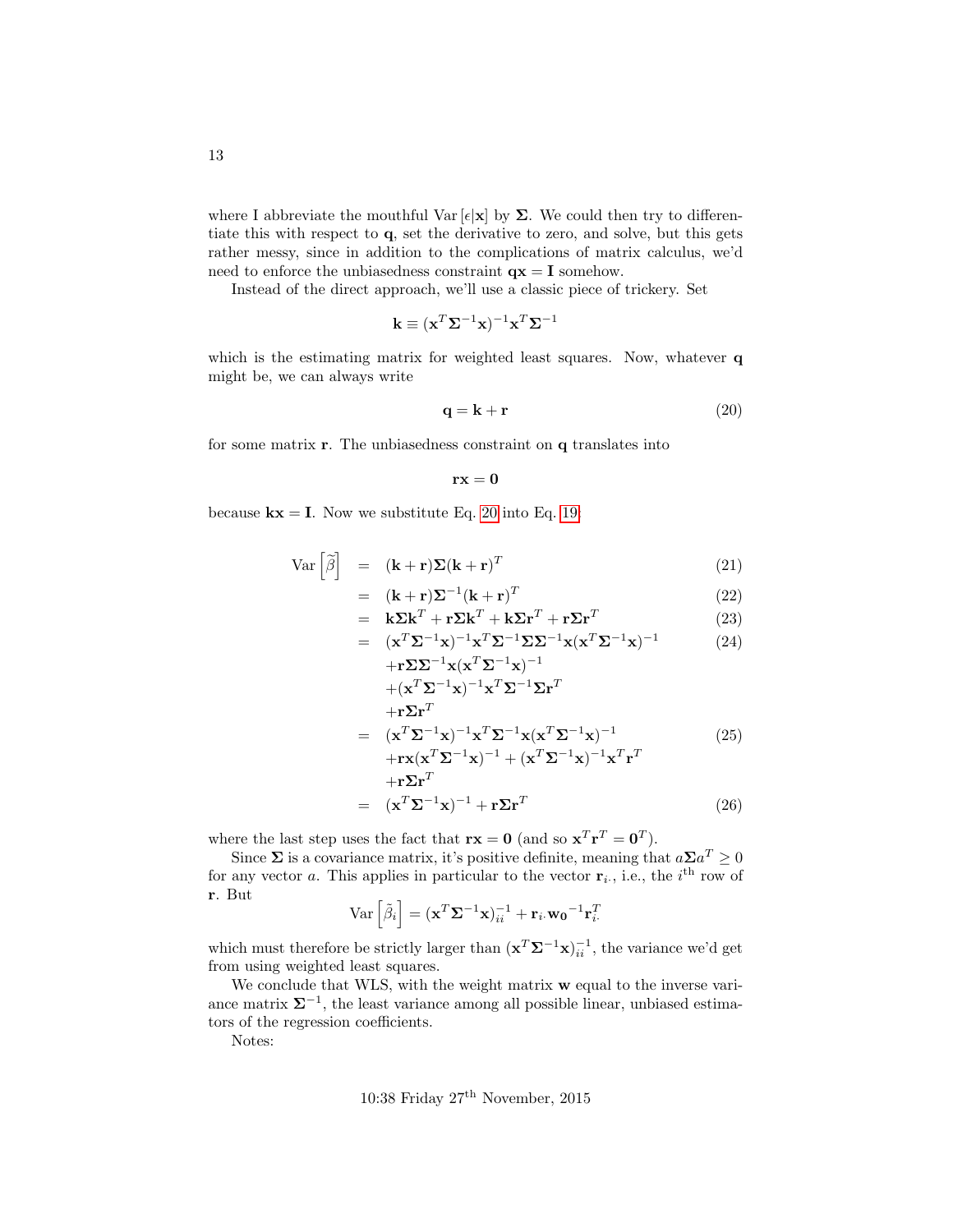where I abbreviate the mouthful Var  $[\epsilon] \mathbf{x}$  by  $\Sigma$ . We could then try to differentiate this with respect to q, set the derivative to zero, and solve, but this gets rather messy, since in addition to the complications of matrix calculus, we'd need to enforce the unbiasedness constraint  $\mathbf{q} \mathbf{x} = \mathbf{I}$  somehow.

Instead of the direct approach, we'll use a classic piece of trickery. Set

$$
\mathbf{k} \equiv (\mathbf{x}^T\mathbf{\Sigma}^{-1}\mathbf{x})^{-1}\mathbf{x}^T\mathbf{\Sigma}^{-1}
$$

which is the estimating matrix for weighted least squares. Now, whatever **q** might be, we can always write

<span id="page-12-0"></span>
$$
\mathbf{q} = \mathbf{k} + \mathbf{r} \tag{20}
$$

for some matrix r. The unbiasedness constraint on q translates into

$$
\mathbf{r}\mathbf{x}=\mathbf{0}
$$

because  $kx = I$ . Now we substitute Eq. [20](#page-12-0) into Eq. [19:](#page-11-2)

$$
Var\left[\tilde{\beta}\right] = (\mathbf{k} + \mathbf{r})\Sigma(\mathbf{k} + \mathbf{r})^T
$$
\n(21)

$$
= (\mathbf{k} + \mathbf{r})\Sigma^{-1}(\mathbf{k} + \mathbf{r})^T
$$
 (22)

$$
= \mathbf{k} \Sigma \mathbf{k}^T + \mathbf{r} \Sigma \mathbf{k}^T + \mathbf{k} \Sigma \mathbf{r}^T + \mathbf{r} \Sigma \mathbf{r}^T
$$
 (23)

$$
= (\mathbf{x}^T \Sigma^{-1} \mathbf{x})^{-1} \mathbf{x}^T \Sigma^{-1} \Sigma \Sigma^{-1} \mathbf{x} (\mathbf{x}^T \Sigma^{-1} \mathbf{x})^{-1}
$$
  
+
$$
\mathbf{r} \Sigma \Sigma^{-1} \mathbf{x} (\mathbf{x}^T \Sigma^{-1} \mathbf{x})^{-1}
$$
 (24)

$$
+(\mathbf{x}^{T}\mathbf{\Sigma}^{-1}\mathbf{x})^{-1}\mathbf{x}^{T}\mathbf{\Sigma}^{-1}\mathbf{\Sigma}\mathbf{r}^{T}
$$
  
\n
$$
+(\mathbf{x}^{T}\mathbf{\Sigma}^{-1}\mathbf{x})^{-1}\mathbf{x}^{T}\mathbf{\Sigma}^{-1}\mathbf{\Sigma}\mathbf{r}^{T}
$$
  
\n
$$
=(\mathbf{x}^{T}\mathbf{\Sigma}^{-1}\mathbf{x})^{-1}\mathbf{x}^{T}\mathbf{\Sigma}^{-1}\mathbf{x}(\mathbf{x}^{T}\mathbf{\Sigma}^{-1}\mathbf{x})^{-1}
$$
  
\n
$$
+\mathbf{r}\mathbf{x}(\mathbf{x}^{T}\mathbf{\Sigma}^{-1}\mathbf{x})^{-1}+(\mathbf{x}^{T}\mathbf{\Sigma}^{-1}\mathbf{x})^{-1}\mathbf{x}^{T}\mathbf{r}^{T}
$$
  
\n
$$
+(\mathbf{r}\mathbf{\Sigma}\mathbf{r}^{T})
$$
  
\n
$$
=(\mathbf{x}^{T}\mathbf{\Sigma}^{-1}\mathbf{x})^{-1}+\mathbf{r}\mathbf{\Sigma}\mathbf{r}^{T}
$$
  
\n(26)

where the last step uses the fact that  $\mathbf{rx} = \mathbf{0}$  (and so  $\mathbf{x}^T \mathbf{r}^T = \mathbf{0}^T$ ).

Since  $\Sigma$  is a covariance matrix, it's positive definite, meaning that  $a\Sigma a^T \geq 0$ for any vector a. This applies in particular to the vector  $\mathbf{r}_i$ , i.e., the i<sup>th</sup> row of r. But

$$
\text{Var}\left[\tilde{\beta}_i\right] = (\mathbf{x}^T \mathbf{\Sigma}^{-1} \mathbf{x})_{ii}^{-1} + \mathbf{r}_i \mathbf{w_0}^{-1} \mathbf{r}_i^T
$$

which must therefore be strictly larger than  $(\mathbf{x}^T \mathbf{\Sigma}^{-1} \mathbf{x})_{ii}^{-1}$ , the variance we'd get from using weighted least squares.

We conclude that WLS, with the weight matrix  $w$  equal to the inverse variance matrix  $\Sigma^{-1}$ , the least variance among all possible linear, unbiased estimators of the regression coefficients.

Notes: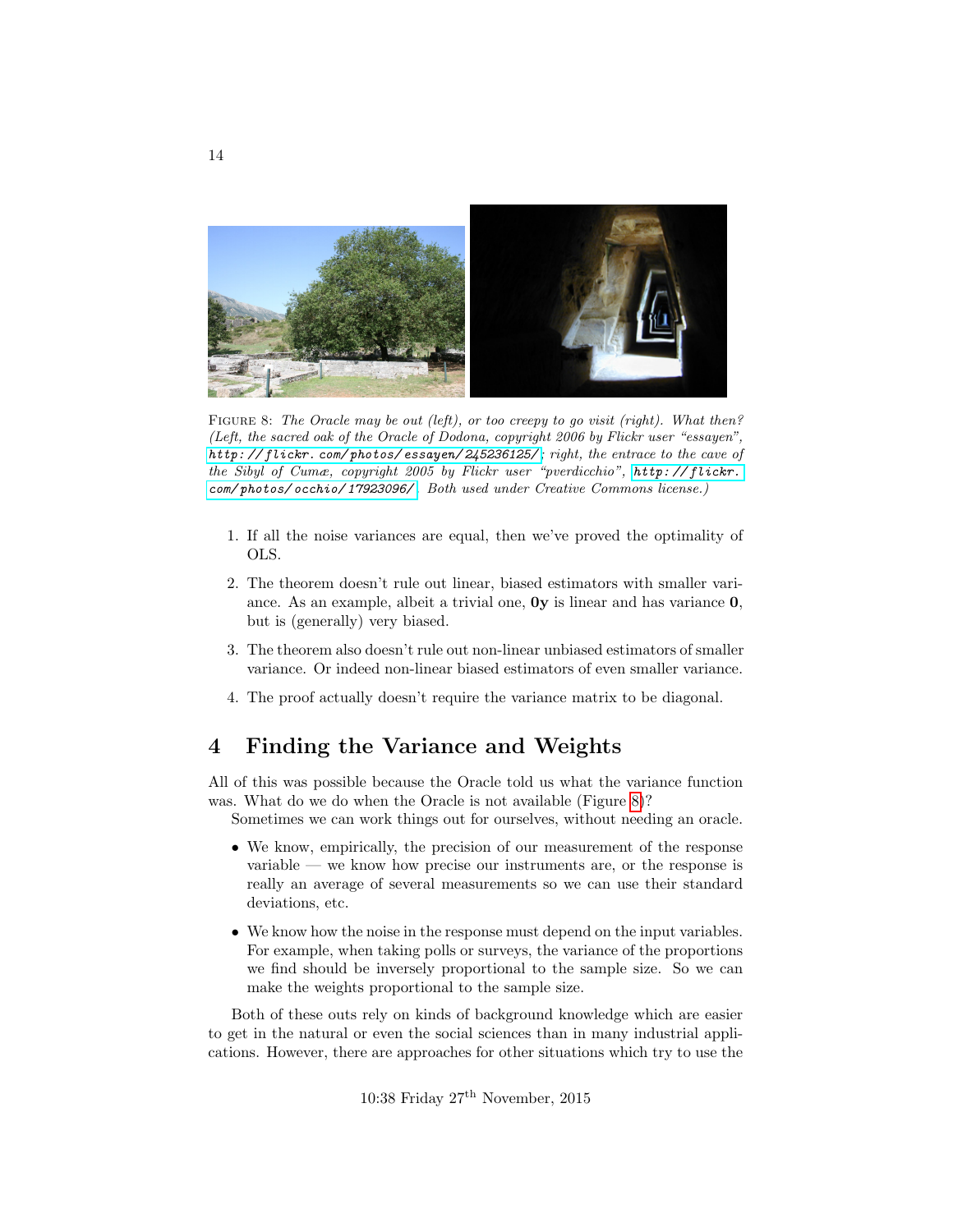<span id="page-13-1"></span>

FIGURE 8: The Oracle may be out (left), or too creepy to go visit (right). What then? (Left, the sacred oak of the Oracle of Dodona, copyright 2006 by Flickr user "essayen", [http: // flickr. com/ photos/ essayen/ 245236125/](http://flickr.com/photos/essayen/245236125/) ; right, the entrace to the cave of the Sibyl of Cumæ, copyright 2005 by Flickr user "pverdicchio", [http: // flickr.](http://flickr.com/photos/occhio/17923096/) [com/ photos/ occhio/ 17923096/](http://flickr.com/photos/occhio/17923096/) . Both used under Creative Commons license.)

- 1. If all the noise variances are equal, then we've proved the optimality of OLS.
- 2. The theorem doesn't rule out linear, biased estimators with smaller variance. As an example, albeit a trivial one, 0y is linear and has variance 0, but is (generally) very biased.
- 3. The theorem also doesn't rule out non-linear unbiased estimators of smaller variance. Or indeed non-linear biased estimators of even smaller variance.
- 4. The proof actually doesn't require the variance matrix to be diagonal.

### <span id="page-13-0"></span>4 Finding the Variance and Weights

All of this was possible because the Oracle told us what the variance function was. What do we do when the Oracle is not available (Figure [8\)](#page-13-1)?

Sometimes we can work things out for ourselves, without needing an oracle.

- We know, empirically, the precision of our measurement of the response variable — we know how precise our instruments are, or the response is really an average of several measurements so we can use their standard deviations, etc.
- We know how the noise in the response must depend on the input variables. For example, when taking polls or surveys, the variance of the proportions we find should be inversely proportional to the sample size. So we can make the weights proportional to the sample size.

Both of these outs rely on kinds of background knowledge which are easier to get in the natural or even the social sciences than in many industrial applications. However, there are approaches for other situations which try to use the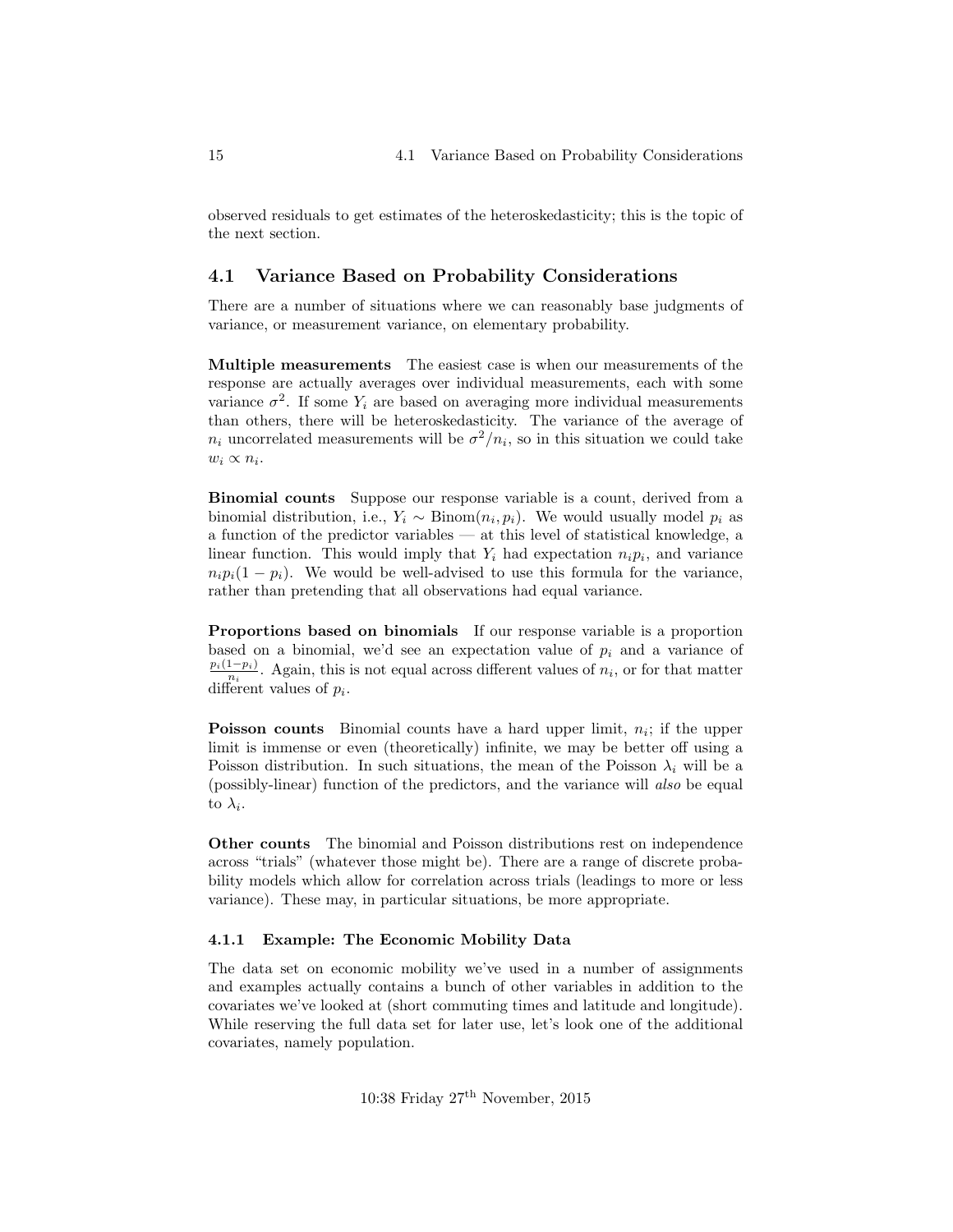observed residuals to get estimates of the heteroskedasticity; this is the topic of the next section.

### <span id="page-14-0"></span>4.1 Variance Based on Probability Considerations

There are a number of situations where we can reasonably base judgments of variance, or measurement variance, on elementary probability.

Multiple measurements The easiest case is when our measurements of the response are actually averages over individual measurements, each with some variance  $\sigma^2$ . If some  $Y_i$  are based on averaging more individual measurements than others, there will be heteroskedasticity. The variance of the average of  $n_i$  uncorrelated measurements will be  $\sigma^2/n_i$ , so in this situation we could take  $w_i \propto n_i$ .

Binomial counts Suppose our response variable is a count, derived from a binomial distribution, i.e.,  $Y_i \sim \text{Binom}(n_i, p_i)$ . We would usually model  $p_i$  as a function of the predictor variables — at this level of statistical knowledge, a linear function. This would imply that  $Y_i$  had expectation  $n_i p_i$ , and variance  $n_i p_i(1 - p_i)$ . We would be well-advised to use this formula for the variance, rather than pretending that all observations had equal variance.

Proportions based on binomials If our response variable is a proportion based on a binomial, we'd see an expectation value of  $p_i$  and a variance of  $p_i(1-p_i)$  $\frac{1-p_i}{n_i}$ . Again, this is not equal across different values of  $n_i$ , or for that matter different values of  $p_i$ .

**Poisson counts** Binomial counts have a hard upper limit,  $n<sub>i</sub>$ ; if the upper limit is immense or even (theoretically) infinite, we may be better off using a Poisson distribution. In such situations, the mean of the Poisson  $\lambda_i$  will be a (possibly-linear) function of the predictors, and the variance will also be equal to  $\lambda_i$ .

Other counts The binomial and Poisson distributions rest on independence across "trials" (whatever those might be). There are a range of discrete probability models which allow for correlation across trials (leadings to more or less variance). These may, in particular situations, be more appropriate.

#### <span id="page-14-1"></span>4.1.1 Example: The Economic Mobility Data

The data set on economic mobility we've used in a number of assignments and examples actually contains a bunch of other variables in addition to the covariates we've looked at (short commuting times and latitude and longitude). While reserving the full data set for later use, let's look one of the additional covariates, namely population.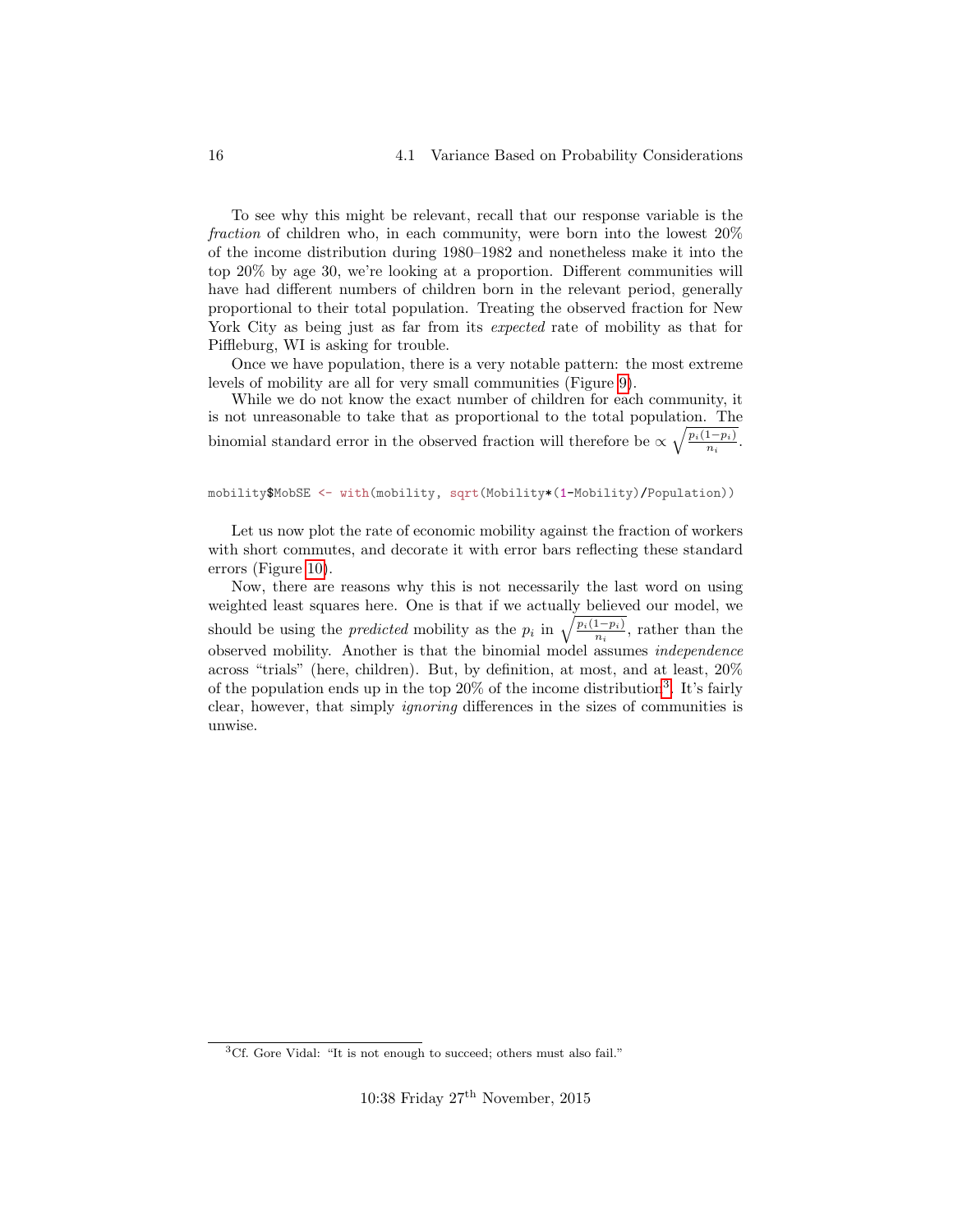To see why this might be relevant, recall that our response variable is the fraction of children who, in each community, were born into the lowest 20% of the income distribution during 1980–1982 and nonetheless make it into the top 20% by age 30, we're looking at a proportion. Different communities will have had different numbers of children born in the relevant period, generally proportional to their total population. Treating the observed fraction for New York City as being just as far from its *expected* rate of mobility as that for Piffleburg, WI is asking for trouble.

Once we have population, there is a very notable pattern: the most extreme levels of mobility are all for very small communities (Figure [9\)](#page-16-0).

While we do not know the exact number of children for each community, it is not unreasonable to take that as proportional to the total population. The binomial standard error in the observed fraction will therefore be  $\propto \sqrt{\frac{p_i(1-p_i)}{p_i}}$  $\frac{1-p_i}{n_i}$ .

#### mobility\$MobSE <- with(mobility, sqrt(Mobility\*(1-Mobility)/Population))

Let us now plot the rate of economic mobility against the fraction of workers with short commutes, and decorate it with error bars reflecting these standard errors (Figure [10\)](#page-17-0).

Now, there are reasons why this is not necessarily the last word on using weighted least squares here. One is that if we actually believed our model, we should be using the *predicted* mobility as the  $p_i$  in  $\sqrt{\frac{p_i(1-p_i)}{n_i}}$ , rather than the observed mobility. Another is that the binomial model assumes *independence* across "trials" (here, children). But, by definition, at most, and at least, 20% of the population ends up in the top 20% of the income distribution<sup>[3](#page-15-0)</sup>. It's fairly clear, however, that simply ignoring differences in the sizes of communities is unwise.

<span id="page-15-0"></span><sup>3</sup>Cf. Gore Vidal: "It is not enough to succeed; others must also fail."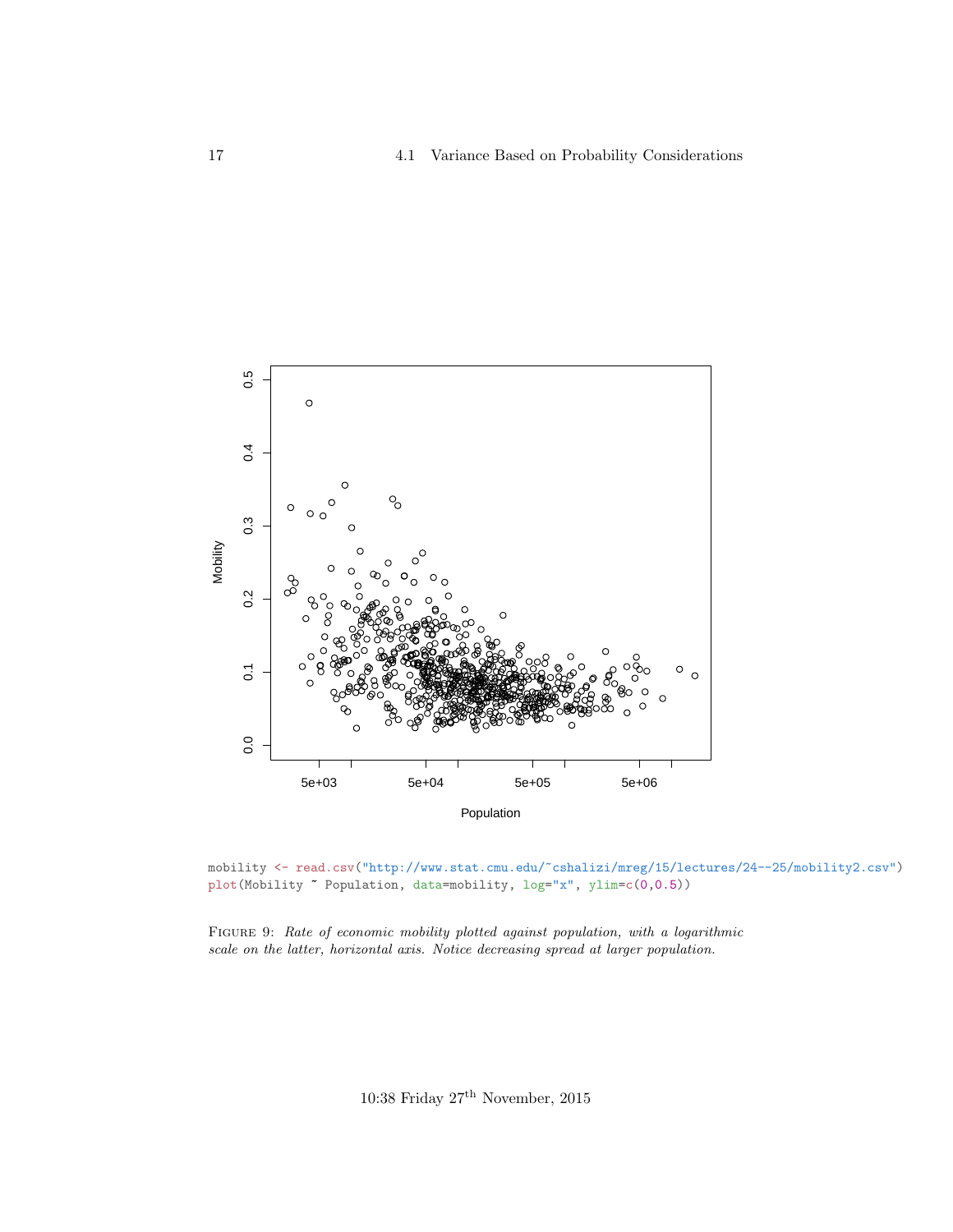<span id="page-16-0"></span>

mobility <- read.csv("http://www.stat.cmu.edu/~cshalizi/mreg/15/lectures/24--25/mobility2.csv") plot(Mobility ~ Population, data=mobility, log="x", ylim=c(0,0.5))

FIGURE 9: Rate of economic mobility plotted against population, with a logarithmic scale on the latter, horizontal axis. Notice decreasing spread at larger population.

10:38 Friday  $27^{\rm th}$  November, 2015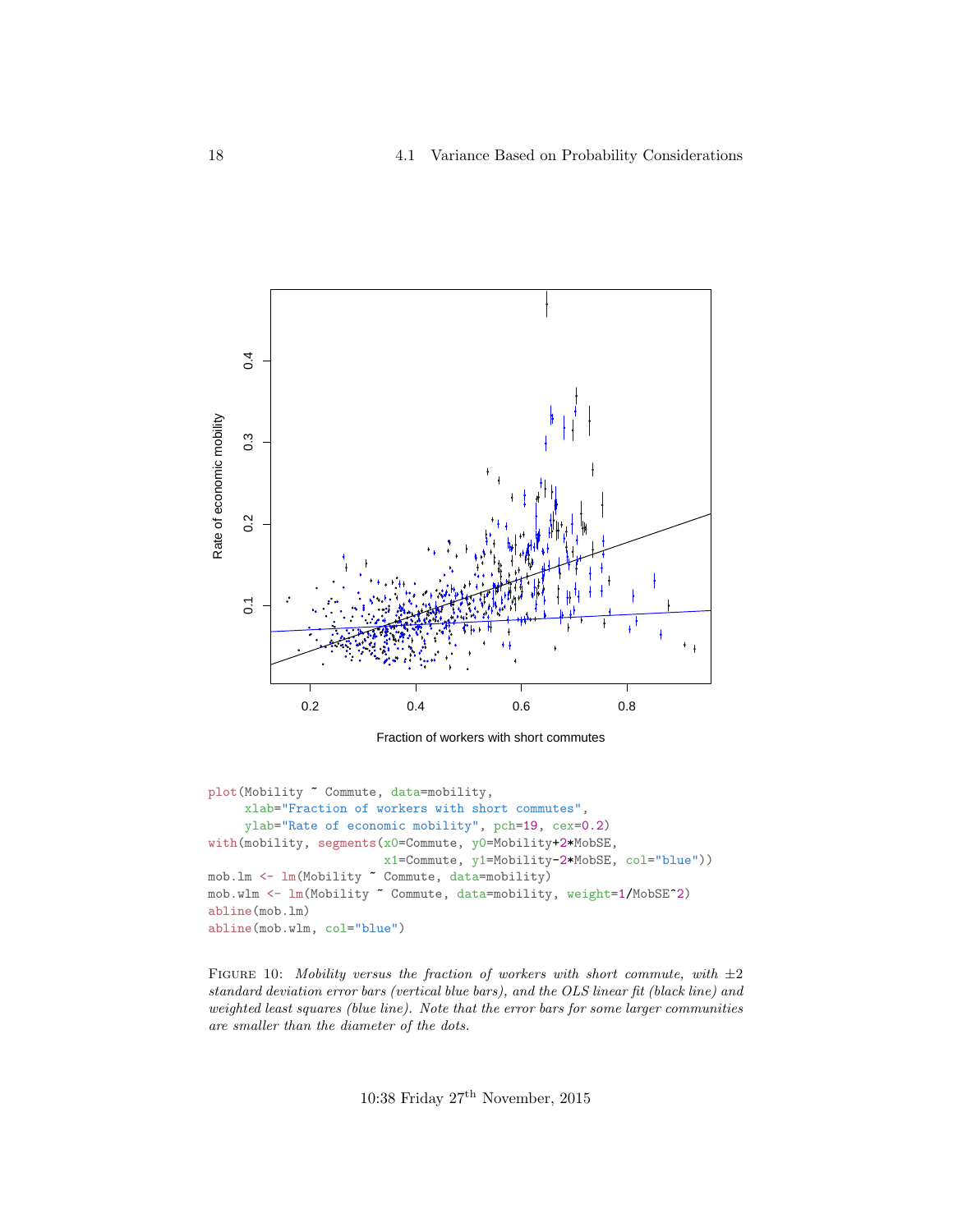<span id="page-17-0"></span>

Fraction of workers with short commutes

```
plot(Mobility ~ Commute, data=mobility,
     xlab="Fraction of workers with short commutes",
     ylab="Rate of economic mobility", pch=19, cex=0.2)
with(mobility, segments(x0=Commute, y0=Mobility+2*MobSE,
                        x1=Commute, y1=Mobility-2*MobSE, col="blue"))
mob.lm <- lm(Mobility ~ Commute, data=mobility)
mob.wlm <- lm(Mobility ~ Commute, data=mobility, weight=1/MobSE^2)
abline(mob.lm)
abline(mob.wlm, col="blue")
```
FIGURE 10: Mobility versus the fraction of workers with short commute, with  $\pm 2$ standard deviation error bars (vertical blue bars), and the OLS linear fit (black line) and weighted least squares (blue line). Note that the error bars for some larger communities are smaller than the diameter of the dots.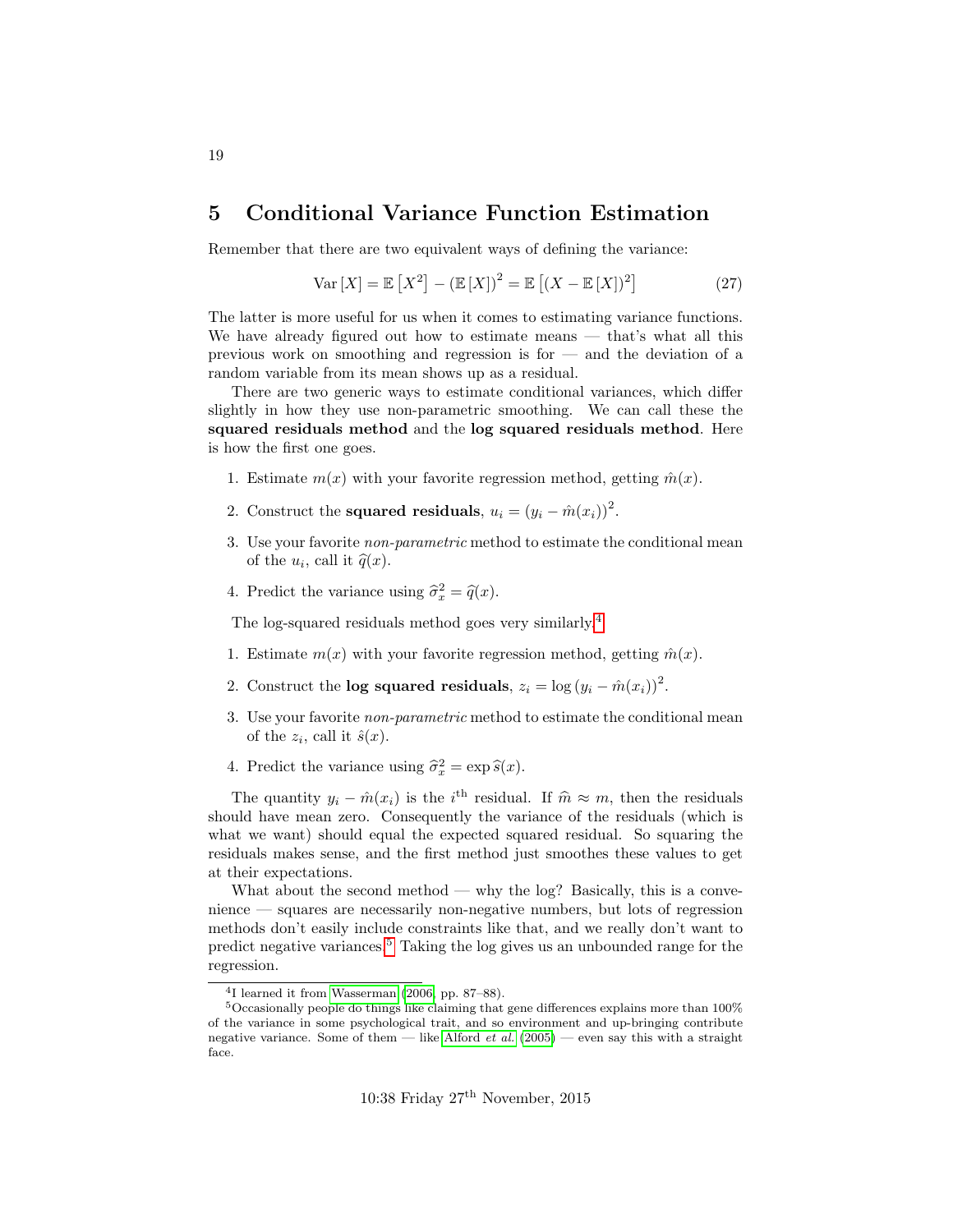### <span id="page-18-0"></span>5 Conditional Variance Function Estimation

Remember that there are two equivalent ways of defining the variance:

$$
Var[X] = \mathbb{E}\left[X^2\right] - \left(\mathbb{E}\left[X\right]\right)^2 = \mathbb{E}\left[\left(X - \mathbb{E}\left[X\right]\right)^2\right] \tag{27}
$$

The latter is more useful for us when it comes to estimating variance functions. We have already figured out how to estimate means — that's what all this previous work on smoothing and regression is for  $-$  and the deviation of a random variable from its mean shows up as a residual.

There are two generic ways to estimate conditional variances, which differ slightly in how they use non-parametric smoothing. We can call these the squared residuals method and the log squared residuals method. Here is how the first one goes.

- 1. Estimate  $m(x)$  with your favorite regression method, getting  $\hat{m}(x)$ .
- 2. Construct the **squared residuals**,  $u_i = (y_i \hat{m}(x_i))^2$ .
- 3. Use your favorite non-parametric method to estimate the conditional mean of the  $u_i$ , call it  $\widehat{q}(x)$ .
- 4. Predict the variance using  $\hat{\sigma}_x^2 = \hat{q}(x)$ .

The log-squared residuals method goes very similarly.[4](#page-18-1)

- 1. Estimate  $m(x)$  with your favorite regression method, getting  $\hat{m}(x)$ .
- 2. Construct the **log squared residuals**,  $z_i = \log (y_i \hat{m}(x_i))^2$ .
- 3. Use your favorite non-parametric method to estimate the conditional mean of the  $z_i$ , call it  $\hat{s}(x)$ .
- 4. Predict the variance using  $\hat{\sigma}_x^2 = \exp \hat{s}(x)$ .

The quantity  $y_i - \hat{m}(x_i)$  is the i<sup>th</sup> residual. If  $\hat{m} \approx m$ , then the residuals uld have mean zero. Consequently the variance of the residuals (which is should have mean zero. Consequently the variance of the residuals (which is what we want) should equal the expected squared residual. So squaring the residuals makes sense, and the first method just smoothes these values to get at their expectations.

What about the second method — why the log? Basically, this is a convenience — squares are necessarily non-negative numbers, but lots of regression methods don't easily include constraints like that, and we really don't want to predict negative variances.[5](#page-18-2) Taking the log gives us an unbounded range for the regression.

<span id="page-18-2"></span><span id="page-18-1"></span><sup>4</sup> I learned it from [Wasserman](#page-26-5) [\(2006,](#page-26-5) pp. 87–88).

 $^5$  Occasionally people do things like claiming that gene differences explains more than  $100\%$ of the variance in some psychological trait, and so environment and up-bringing contribute negative variance. Some of them — like [Alford](#page-26-6) *et al.*  $(2005)$  — even say this with a straight face.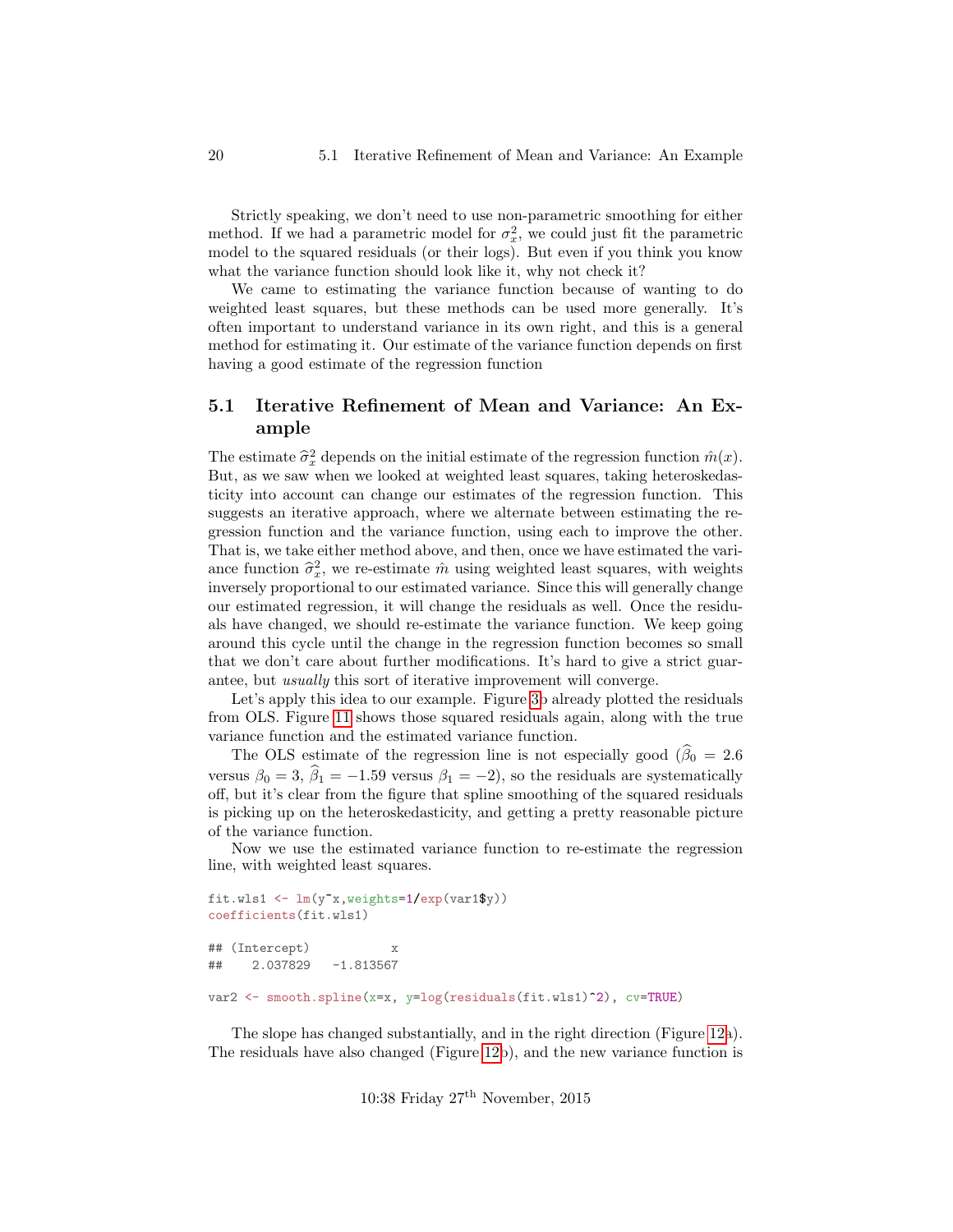Strictly speaking, we don't need to use non-parametric smoothing for either method. If we had a parametric model for  $\sigma_x^2$ , we could just fit the parametric model to the squared residuals (or their logs). But even if you think you know what the variance function should look like it, why not check it?

We came to estimating the variance function because of wanting to do weighted least squares, but these methods can be used more generally. It's often important to understand variance in its own right, and this is a general method for estimating it. Our estimate of the variance function depends on first having a good estimate of the regression function

### <span id="page-19-0"></span>5.1 Iterative Refinement of Mean and Variance: An Example

The estimate  $\hat{\sigma}_x^2$  depends on the initial estimate of the regression function  $\hat{m}(x)$ .<br>But as we saw when we looked at weighted least squares, taking beteroskedes. But, as we saw when we looked at weighted least squares, taking heteroskedasticity into account can change our estimates of the regression function. This suggests an iterative approach, where we alternate between estimating the regression function and the variance function, using each to improve the other. That is, we take either method above, and then, once we have estimated the variance function  $\hat{\sigma}_x^2$ , we re-estimate  $\hat{m}$  using weighted least squares, with weights inversely proportional to our estimated variance. Since this will concrete degree inversely proportional to our estimated variance. Since this will generally change our estimated regression, it will change the residuals as well. Once the residuals have changed, we should re-estimate the variance function. We keep going around this cycle until the change in the regression function becomes so small that we don't care about further modifications. It's hard to give a strict guarantee, but usually this sort of iterative improvement will converge.

Let's apply this idea to our example. Figure [3b](#page-5-0) already plotted the residuals from OLS. Figure [11](#page-20-0) shows those squared residuals again, along with the true variance function and the estimated variance function.

The OLS estimate of the regression line is not especially good ( $\widehat{\beta}_0 = 2.6$ ) versus  $\beta_0 = 3$ ,  $\widehat{\beta}_1 = -1.59$  versus  $\beta_1 = -2$ ), so the residuals are systematically off, but it's clear from the figure that spline smoothing of the squared residuals is picking up on the heteroskedasticity, and getting a pretty reasonable picture of the variance function.

Now we use the estimated variance function to re-estimate the regression line, with weighted least squares.

```
fit.wls1 <- lm(y^*x, weights=1/exp(var1\y))
coefficients(fit.wls1)
## (Intercept) x
## 2.037829 -1.813567
var2 <- smooth.spline(x=x, y=log(residuals(fit.wls1)^2), cv=TRUE)
```
The slope has changed substantially, and in the right direction (Figure [12a](#page-22-0)). The residuals have also changed (Figure [12b](#page-22-0)), and the new variance function is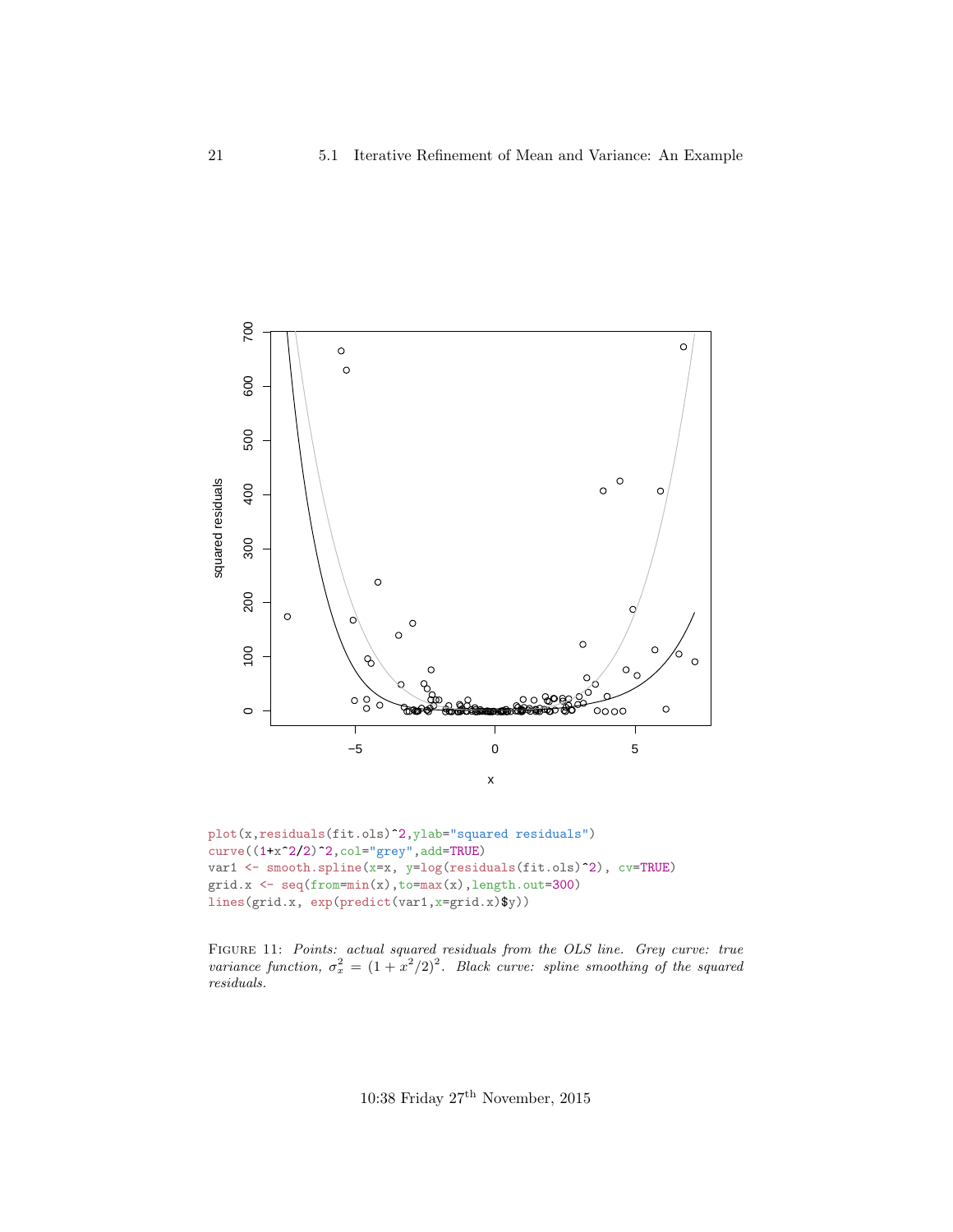<span id="page-20-0"></span>

```
plot(x,residuals(fit.ols)^2,ylab="squared residuals")
curve((1+x^2/2)^2,col="grey",add=TRUE)
var1 <- smooth.spline(x=x, y=log(residuals(fit.ols)^2), cv=TRUE)
grid.x \leftarrow seq(from=min(x), to=max(x), length.out=300)
lines(grid.x, exp(predict(var1,x=grid.x)$y))
```
FIGURE 11: Points: actual squared residuals from the OLS line. Grey curve: true variance function,  $\sigma_x^2 = (1 + x^2/2)^2$ . Black curve: spline smoothing of the squared residuals.

10:38 Friday  $27^{\rm th}$  November, 2015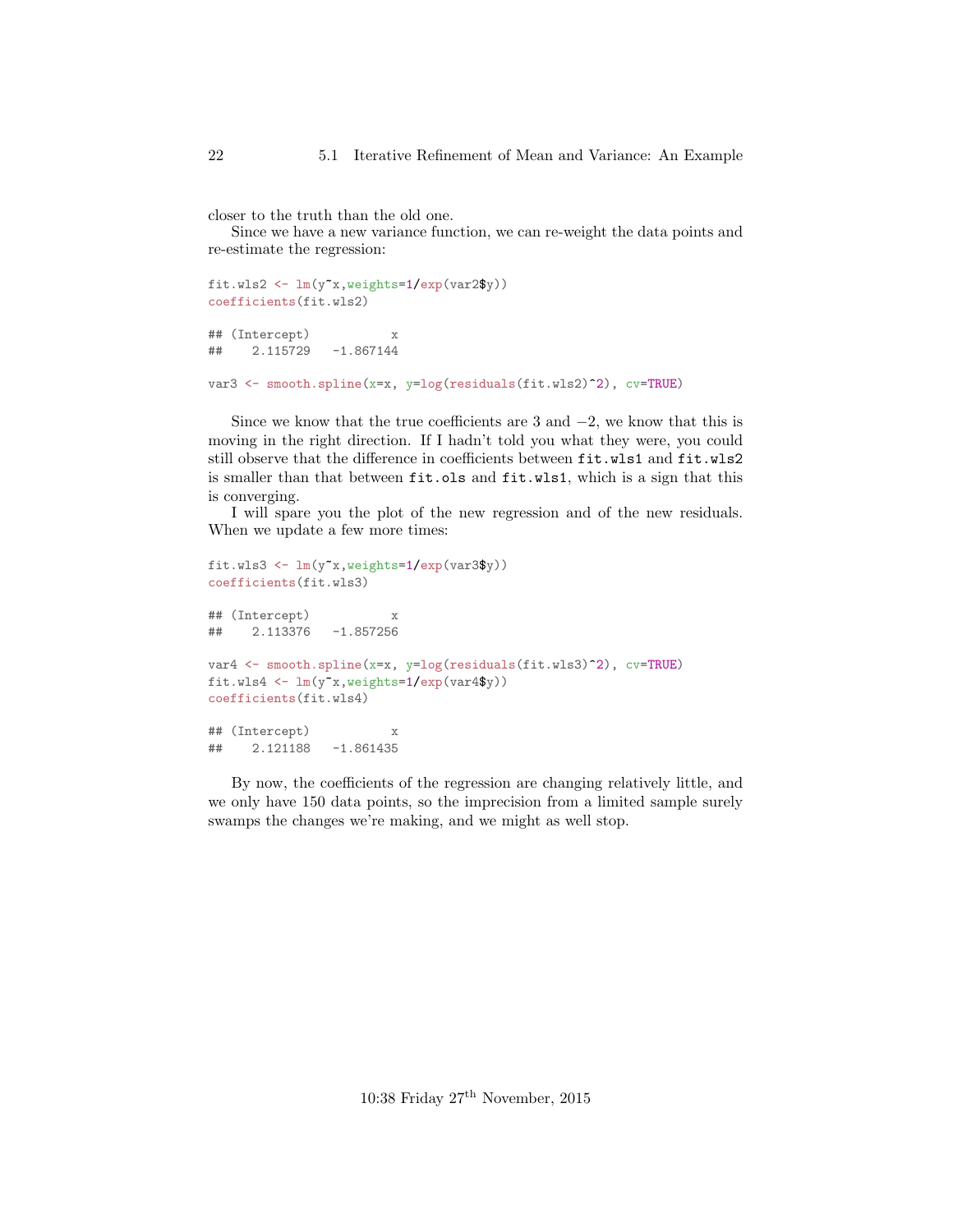closer to the truth than the old one.

Since we have a new variance function, we can re-weight the data points and re-estimate the regression:

```
fit.wls2 <- lm(y~x,weights=1/exp(var2$y))
coefficients(fit.wls2)
## (Intercept) x
## 2.115729 -1.867144
var3 <- smooth.spline(x=x, y=log(residuals(fit.wls2)^2), cv=TRUE)
```
Since we know that the true coefficients are 3 and  $-2$ , we know that this is moving in the right direction. If I hadn't told you what they were, you could still observe that the difference in coefficients between fit.wls1 and fit.wls2 is smaller than that between fit.ols and fit.wls1, which is a sign that this is converging.

I will spare you the plot of the new regression and of the new residuals. When we update a few more times:

```
fit.wls3 <- lm(y~x,weights=1/exp(var3$y))
coefficients(fit.wls3)
## (Intercept) x
## 2.113376 -1.857256
var4 <- smooth.spline(x=x, y=log(residuals(fit.wls3)^2), cv=TRUE)
fit.wls4 \leftarrow \text{lm}(y^{\star}x, \text{weights=1/exp(var4\$y)})coefficients(fit.wls4)
## (Intercept) x
## 2.121188 -1.861435
```
By now, the coefficients of the regression are changing relatively little, and we only have 150 data points, so the imprecision from a limited sample surely swamps the changes we're making, and we might as well stop.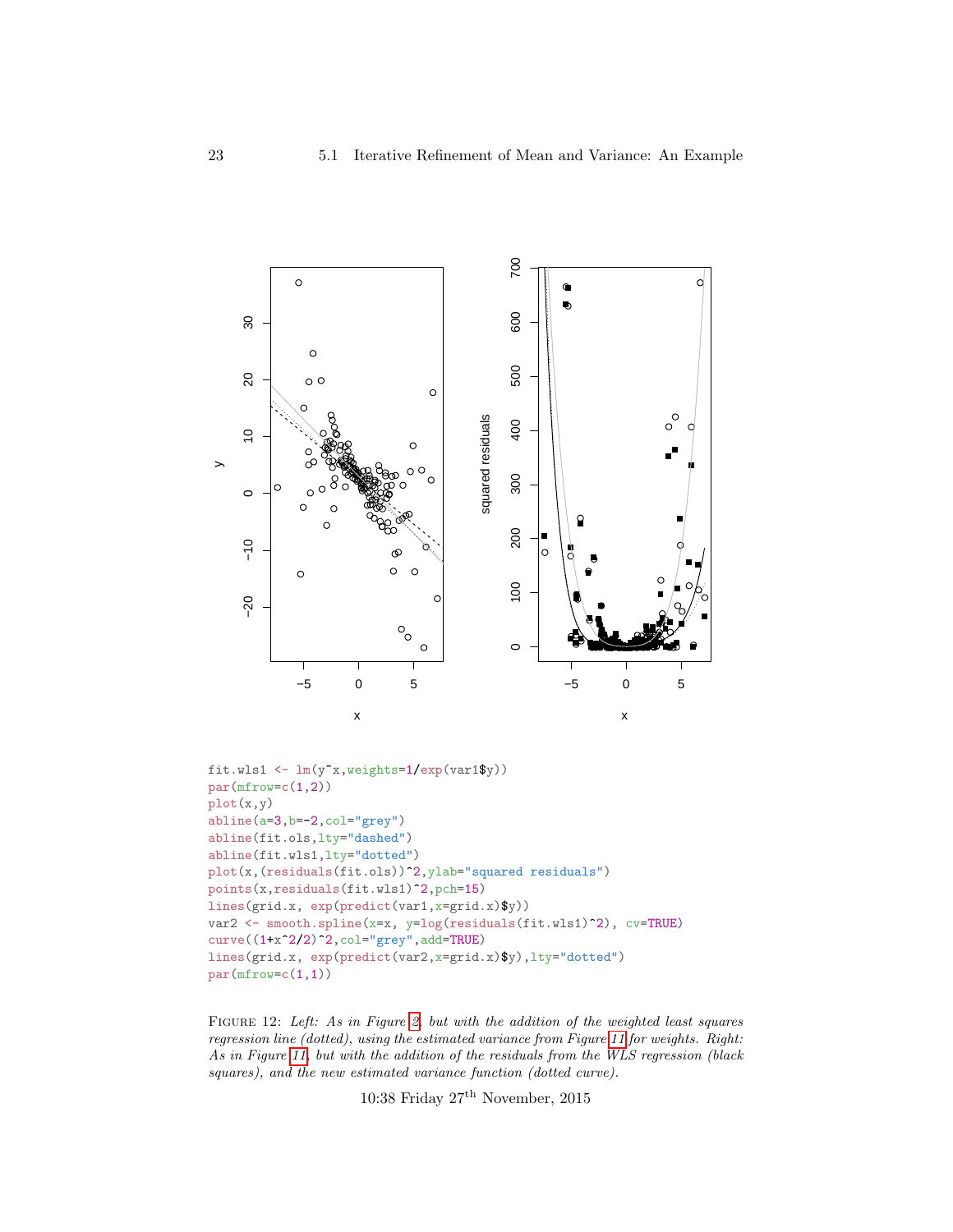<span id="page-22-0"></span>

FIGURE 12: Left: As in Figure [2,](#page-4-0) but with the addition of the weighted least squares regression line (dotted), using the estimated variance from Figure [11](#page-20-0) for weights. Right: As in Figure [11,](#page-20-0) but with the addition of the residuals from the WLS regression (black squares), and the new estimated variance function (dotted curve).

10:38 Friday 27th November, 2015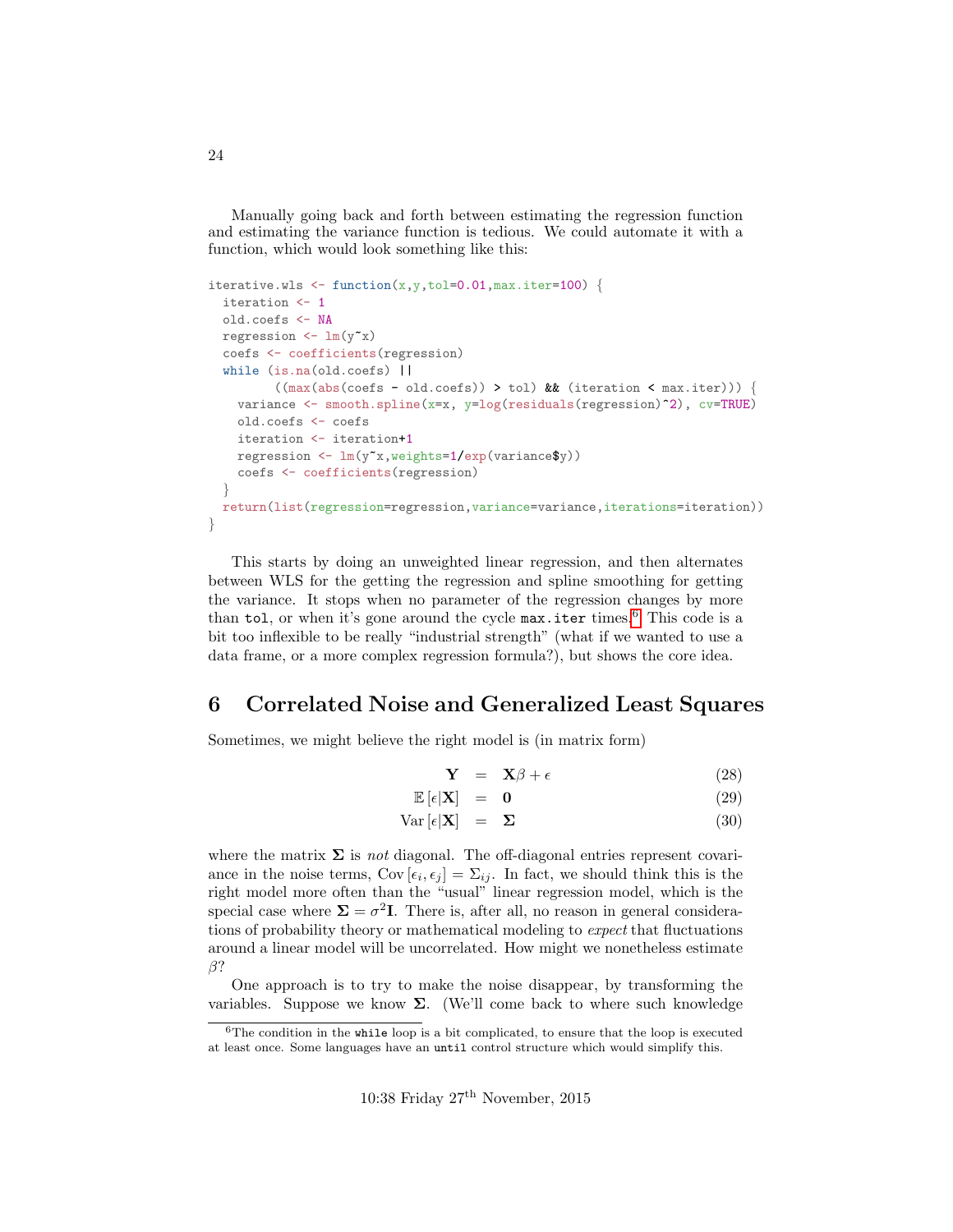Manually going back and forth between estimating the regression function and estimating the variance function is tedious. We could automate it with a function, which would look something like this:

```
iterative.wls \leq function(x, y, tol=0.01, max.iter=100) {
  iteration <- 1
  old.coefs <- NA
  regression \leftarrow \text{lm}(y^{\star}x)coefs <- coefficients(regression)
  while (is.na(old.coefs) ||
          ((max(abs(coefs - old-coefs)) > tol) && (iteration < max.iter))) {
    variance <- smooth.spline(x=x, y=log(residuals(regression)^2), cv=TRUE)
    old.coefs <- coefs
    iteration <- iteration+1
    regression \leftarrow \text{lm}(y^{\star}x, \text{weights=1/exp(variance\text{\textbf{\$y$}}))coefs <- coefficients(regression)
  }
  return(list(regression=regression,variance=variance,iterations=iteration))
}
```
This starts by doing an unweighted linear regression, and then alternates between WLS for the getting the regression and spline smoothing for getting the variance. It stops when no parameter of the regression changes by more than tol, or when it's gone around the cycle  $max.$ iter times.<sup>[6](#page-23-1)</sup> This code is a bit too inflexible to be really "industrial strength" (what if we wanted to use a data frame, or a more complex regression formula?), but shows the core idea.

### <span id="page-23-0"></span>6 Correlated Noise and Generalized Least Squares

Sometimes, we might believe the right model is (in matrix form)

$$
\mathbf{Y} = \mathbf{X}\beta + \epsilon \tag{28}
$$

$$
\mathbb{E}\left[\epsilon|\mathbf{X}\right] = \mathbf{0} \tag{29}
$$

$$
Var\left[\epsilon|\mathbf{X}\right] = \mathbf{\Sigma} \tag{30}
$$

where the matrix  $\Sigma$  is *not* diagonal. The off-diagonal entries represent covariance in the noise terms,  $Cov [\epsilon_i, \epsilon_j] = \sum_{ij}$ . In fact, we should think this is the right model more often than the "usual" linear regression model, which is the special case where  $\Sigma = \sigma^2 I$ . There is, after all, no reason in general considerations of probability theory or mathematical modeling to expect that fluctuations around a linear model will be uncorrelated. How might we nonetheless estimate β?

One approach is to try to make the noise disappear, by transforming the variables. Suppose we know  $\Sigma$ . (We'll come back to where such knowledge

<span id="page-23-1"></span> $6$ The condition in the while loop is a bit complicated, to ensure that the loop is executed at least once. Some languages have an until control structure which would simplify this.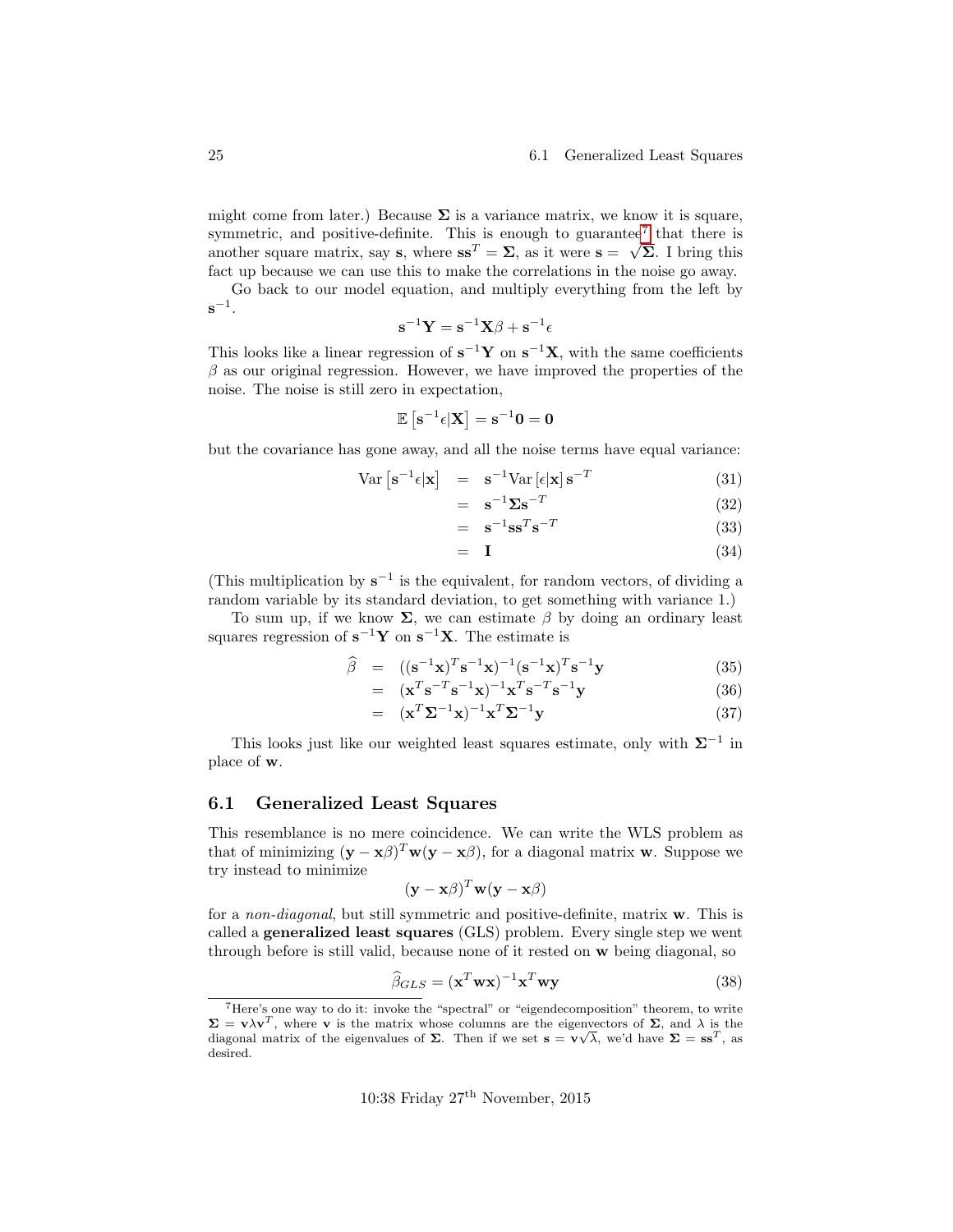#### 25 6.1 Generalized Least Squares

might come from later.) Because  $\Sigma$  is a variance matrix, we know it is square, symmetric, and positive-definite. This is enough to guarantee<sup>[7](#page-24-1)</sup> that there is another square matrix, say s, where  $ss^T = \Sigma$ , as it were  $s = \sqrt{\Sigma}$ . I bring this fact up because we can use this to make the correlations in the noise go away.

Go back to our model equation, and multiply everything from the left by  $\mathbf{s}^{-1}$ .

$$
\mathbf{s}^{-1}\mathbf{Y} = \mathbf{s}^{-1}\mathbf{X}\boldsymbol{\beta} + \mathbf{s}^{-1}\boldsymbol{\epsilon}
$$

This looks like a linear regression of  $s^{-1}Y$  on  $s^{-1}X$ , with the same coefficients  $\beta$  as our original regression. However, we have improved the properties of the noise. The noise is still zero in expectation,

$$
\mathbb{E}\left[\mathbf{s}^{-1}\mathbf{\epsilon}|\mathbf{X}\right]=\mathbf{s}^{-1}\mathbf{0}=\mathbf{0}
$$

but the covariance has gone away, and all the noise terms have equal variance:

$$
Var\left[\mathbf{s}^{-1}\epsilon|\mathbf{x}\right] = \mathbf{s}^{-1}Var\left[\epsilon|\mathbf{x}\right]\mathbf{s}^{-T} \tag{31}
$$

$$
= \mathbf{s}^{-1} \mathbf{\Sigma} \mathbf{s}^{-T} \tag{32}
$$

$$
= \mathbf{s}^{-1} \mathbf{s} \mathbf{s}^T \mathbf{s}^{-T} \tag{33}
$$

$$
= I \tag{34}
$$

(This multiplication by  $s^{-1}$  is the equivalent, for random vectors, of dividing a random variable by its standard deviation, to get something with variance 1.)

To sum up, if we know  $\Sigma$ , we can estimate  $\beta$  by doing an ordinary least squares regression of  $s^{-1}Y$  on  $s^{-1}X$ . The estimate is

$$
\widehat{\beta} = ((\mathbf{s}^{-1}\mathbf{x})^T \mathbf{s}^{-1} \mathbf{x})^{-1} (\mathbf{s}^{-1}\mathbf{x})^T \mathbf{s}^{-1} \mathbf{y}
$$
(35)

$$
= (\mathbf{x}^T \mathbf{s}^{-T} \mathbf{s}^{-1} \mathbf{x})^{-1} \mathbf{x}^T \mathbf{s}^{-T} \mathbf{s}^{-1} \mathbf{y}
$$
  

$$
= (\mathbf{x}^T \mathbf{\Sigma}^{-1} \mathbf{x})^{-1} \mathbf{x}^T \mathbf{\Sigma}^{-1} \mathbf{y}
$$
(36)  
(37)

This looks just like our weighted least squares estimate, only with  $\Sigma^{-1}$  in

# <span id="page-24-0"></span>6.1 Generalized Least Squares

place of w.

This resemblance is no mere coincidence. We can write the WLS problem as that of minimizing  $(y - x\beta)^T w(y - x\beta)$ , for a diagonal matrix w. Suppose we try instead to minimize

$$
(\mathbf{y} - \mathbf{x}\beta)^T \mathbf{w}(\mathbf{y} - \mathbf{x}\beta)
$$

for a non-diagonal, but still symmetric and positive-definite, matrix w. This is called a generalized least squares (GLS) problem. Every single step we went through before is still valid, because none of it rested on w being diagonal, so

$$
\widehat{\beta}_{GLS} = (\mathbf{x}^T \mathbf{w} \mathbf{x})^{-1} \mathbf{x}^T \mathbf{w} \mathbf{y}
$$
\n(38)

<span id="page-24-1"></span><sup>7</sup>Here's one way to do it: invoke the "spectral" or "eigendecomposition" theorem, to write  $\Sigma = \mathbf{v}\lambda \mathbf{v}^T$ , where **v** is the matrix whose columns are the eigenvectors of  $\Sigma$ , and  $\lambda$  is the diagonal matrix of the eigenvalues of  $\Sigma$ . Then if we set  $\mathbf{s} = \mathbf{v}\sqrt{\lambda}$ , we'd have  $\Sigma = \mathbf{s}\mathbf{s}^T$ , as desired.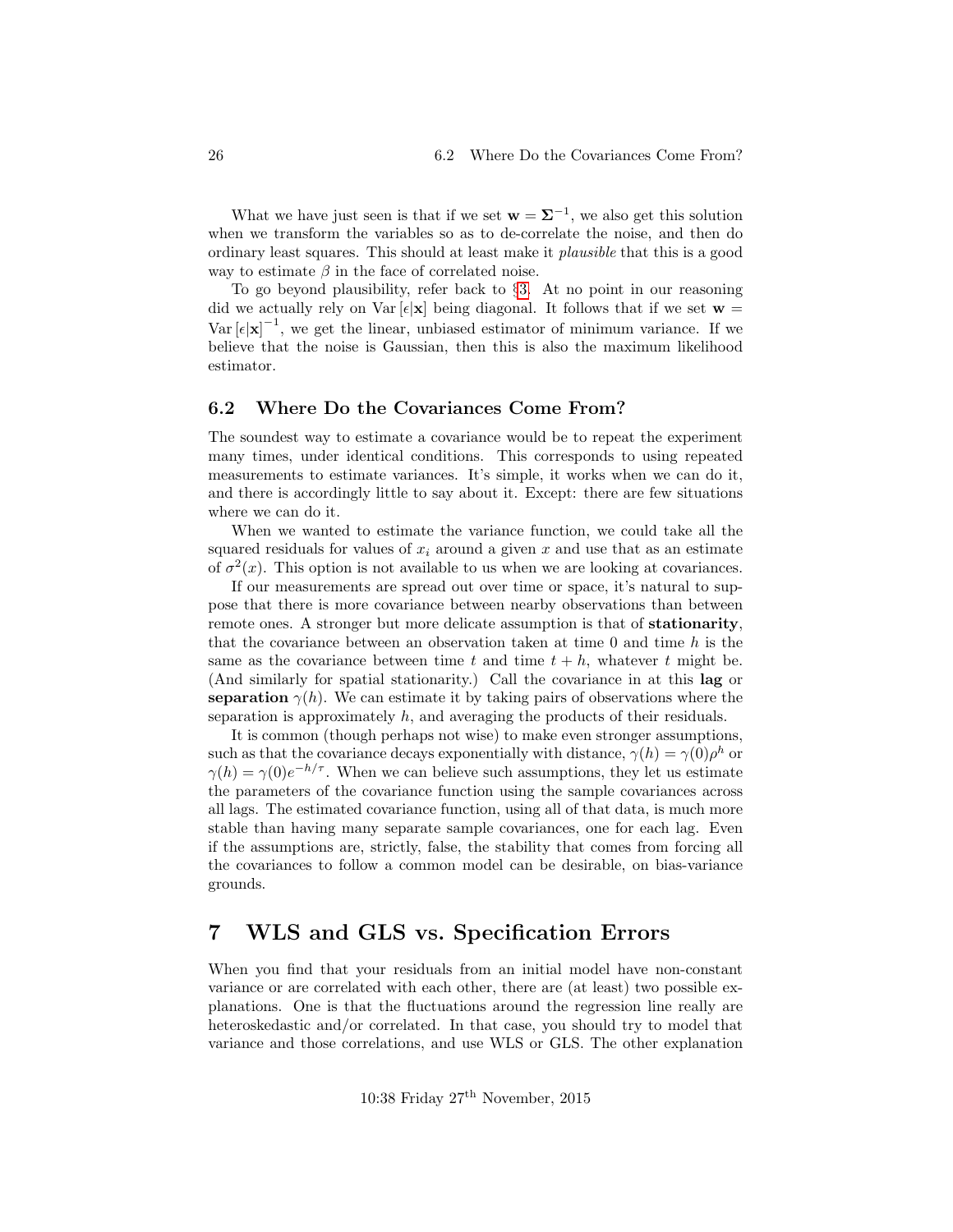What we have just seen is that if we set  $\mathbf{w} = \mathbf{\Sigma}^{-1}$ , we also get this solution when we transform the variables so as to de-correlate the noise, and then do ordinary least squares. This should at least make it plausible that this is a good way to estimate  $\beta$  in the face of correlated noise.

To go beyond plausibility, refer back to §[3.](#page-11-0) At no point in our reasoning did we actually rely on Var  $[\epsilon] \mathbf{x}$  being diagonal. It follows that if we set  $\mathbf{w} =$ Var  $[\epsilon|\mathbf{x}]^{-1}$ , we get the linear, unbiased estimator of minimum variance. If we believe that the noise is Gaussian, then this is also the maximum likelihood estimator.

### <span id="page-25-0"></span>6.2 Where Do the Covariances Come From?

The soundest way to estimate a covariance would be to repeat the experiment many times, under identical conditions. This corresponds to using repeated measurements to estimate variances. It's simple, it works when we can do it, and there is accordingly little to say about it. Except: there are few situations where we can do it.

When we wanted to estimate the variance function, we could take all the squared residuals for values of  $x_i$  around a given x and use that as an estimate of  $\sigma^2(x)$ . This option is not available to us when we are looking at covariances.

If our measurements are spread out over time or space, it's natural to suppose that there is more covariance between nearby observations than between remote ones. A stronger but more delicate assumption is that of stationarity, that the covariance between an observation taken at time  $0$  and time  $h$  is the same as the covariance between time t and time  $t + h$ , whatever t might be. (And similarly for spatial stationarity.) Call the covariance in at this lag or separation  $\gamma(h)$ . We can estimate it by taking pairs of observations where the separation is approximately  $h$ , and averaging the products of their residuals.

It is common (though perhaps not wise) to make even stronger assumptions, such as that the covariance decays exponentially with distance,  $\gamma(h) = \gamma(0)\rho^h$  or  $\gamma(h) = \gamma(0)e^{-h/\tau}$ . When we can believe such assumptions, they let us estimate the parameters of the covariance function using the sample covariances across all lags. The estimated covariance function, using all of that data, is much more stable than having many separate sample covariances, one for each lag. Even if the assumptions are, strictly, false, the stability that comes from forcing all the covariances to follow a common model can be desirable, on bias-variance grounds.

### <span id="page-25-1"></span>7 WLS and GLS vs. Specification Errors

When you find that your residuals from an initial model have non-constant variance or are correlated with each other, there are (at least) two possible explanations. One is that the fluctuations around the regression line really are heteroskedastic and/or correlated. In that case, you should try to model that variance and those correlations, and use WLS or GLS. The other explanation